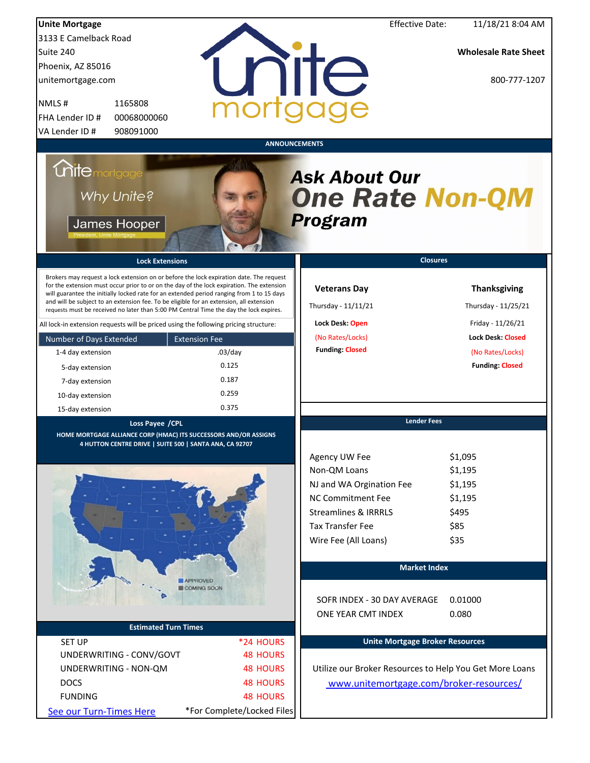| <b>Unite Mortgage</b>       |                                                                                                                                                                                                                                                                                                                                                                                                                                                                        |                            |                                                                  | <b>Effective Date:</b>                 | 11/18/21 8:04 AM                                        |
|-----------------------------|------------------------------------------------------------------------------------------------------------------------------------------------------------------------------------------------------------------------------------------------------------------------------------------------------------------------------------------------------------------------------------------------------------------------------------------------------------------------|----------------------------|------------------------------------------------------------------|----------------------------------------|---------------------------------------------------------|
| 3133 E Camelback Road       |                                                                                                                                                                                                                                                                                                                                                                                                                                                                        |                            |                                                                  |                                        |                                                         |
| Suite 240                   |                                                                                                                                                                                                                                                                                                                                                                                                                                                                        |                            |                                                                  |                                        | <b>Wholesale Rate Sheet</b>                             |
| Phoenix, AZ 85016           |                                                                                                                                                                                                                                                                                                                                                                                                                                                                        |                            |                                                                  |                                        |                                                         |
| unitemortgage.com           |                                                                                                                                                                                                                                                                                                                                                                                                                                                                        |                            | unite                                                            |                                        | 800-777-1207                                            |
| NMLS#                       | 1165808                                                                                                                                                                                                                                                                                                                                                                                                                                                                |                            |                                                                  |                                        |                                                         |
| FHA Lender ID #             | 00068000060                                                                                                                                                                                                                                                                                                                                                                                                                                                            |                            |                                                                  |                                        |                                                         |
| VA Lender ID #              | 908091000                                                                                                                                                                                                                                                                                                                                                                                                                                                              |                            |                                                                  |                                        |                                                         |
|                             |                                                                                                                                                                                                                                                                                                                                                                                                                                                                        |                            | <b>ANNOUNCEMENTS</b>                                             |                                        |                                                         |
| <i><b>Chitemortgage</b></i> | Why Unite?<br>James Hooper                                                                                                                                                                                                                                                                                                                                                                                                                                             |                            | <b>Ask About Our</b><br><b>One Rate Non-QM</b><br><b>Program</b> |                                        |                                                         |
|                             | <b>Lock Extensions</b>                                                                                                                                                                                                                                                                                                                                                                                                                                                 |                            |                                                                  | <b>Closures</b>                        |                                                         |
|                             | Brokers may request a lock extension on or before the lock expiration date. The request<br>for the extension must occur prior to or on the day of the lock expiration. The extension<br>will guarantee the initially locked rate for an extended period ranging from 1 to 15 days<br>and will be subject to an extension fee. To be eligible for an extension, all extension<br>requests must be received no later than 5:00 PM Central Time the day the lock expires. |                            | <b>Veterans Day</b><br>Thursday - 11/11/21                       |                                        | <b>Thanksgiving</b><br>Thursday - 11/25/21              |
|                             | All lock-in extension requests will be priced using the following pricing structure:                                                                                                                                                                                                                                                                                                                                                                                   |                            | Lock Desk: Open                                                  |                                        | Friday - 11/26/21                                       |
| Number of Days Extended     | <b>Extension Fee</b>                                                                                                                                                                                                                                                                                                                                                                                                                                                   |                            | (No Rates/Locks)                                                 |                                        | <b>Lock Desk: Closed</b>                                |
| 1-4 day extension           |                                                                                                                                                                                                                                                                                                                                                                                                                                                                        | $.03$ /day                 | <b>Funding: Closed</b>                                           |                                        | (No Rates/Locks)                                        |
| 5-day extension             |                                                                                                                                                                                                                                                                                                                                                                                                                                                                        | 0.125                      |                                                                  |                                        | <b>Funding: Closed</b>                                  |
| 7-day extension             |                                                                                                                                                                                                                                                                                                                                                                                                                                                                        | 0.187                      |                                                                  |                                        |                                                         |
| 10-day extension            |                                                                                                                                                                                                                                                                                                                                                                                                                                                                        | 0.259                      |                                                                  |                                        |                                                         |
| 15-day extension            |                                                                                                                                                                                                                                                                                                                                                                                                                                                                        | 0.375                      |                                                                  |                                        |                                                         |
|                             | Loss Payee /CPL                                                                                                                                                                                                                                                                                                                                                                                                                                                        |                            |                                                                  | <b>Lender Fees</b>                     |                                                         |
|                             | HOME MORTGAGE ALLIANCE CORP (HMAC) ITS SUCCESSORS AND/OR ASSIGNS<br>4 HUTTON CENTRE DRIVE   SUITE 500   SANTA ANA, CA 92707                                                                                                                                                                                                                                                                                                                                            |                            |                                                                  |                                        |                                                         |
|                             |                                                                                                                                                                                                                                                                                                                                                                                                                                                                        |                            | Agency UW Fee                                                    |                                        | \$1,095                                                 |
|                             |                                                                                                                                                                                                                                                                                                                                                                                                                                                                        |                            | Non-QM Loans                                                     |                                        | \$1,195                                                 |
|                             |                                                                                                                                                                                                                                                                                                                                                                                                                                                                        |                            | NJ and WA Orgination Fee                                         |                                        | \$1,195                                                 |
|                             |                                                                                                                                                                                                                                                                                                                                                                                                                                                                        |                            | NC Commitment Fee                                                |                                        | \$1,195                                                 |
|                             |                                                                                                                                                                                                                                                                                                                                                                                                                                                                        |                            | <b>Streamlines &amp; IRRRLS</b>                                  |                                        | \$495                                                   |
|                             |                                                                                                                                                                                                                                                                                                                                                                                                                                                                        |                            |                                                                  |                                        |                                                         |
|                             |                                                                                                                                                                                                                                                                                                                                                                                                                                                                        |                            | <b>Tax Transfer Fee</b>                                          |                                        | \$85                                                    |
|                             |                                                                                                                                                                                                                                                                                                                                                                                                                                                                        |                            | Wire Fee (All Loans)                                             |                                        | \$35                                                    |
|                             |                                                                                                                                                                                                                                                                                                                                                                                                                                                                        |                            |                                                                  |                                        |                                                         |
|                             |                                                                                                                                                                                                                                                                                                                                                                                                                                                                        |                            |                                                                  | <b>Market Index</b>                    |                                                         |
|                             | <b>APPROVED</b><br><b>COMING SOON</b>                                                                                                                                                                                                                                                                                                                                                                                                                                  |                            | SOFR INDEX - 30 DAY AVERAGE<br>ONE YEAR CMT INDEX                |                                        | 0.01000<br>0.080                                        |
|                             | <b>Estimated Turn Times</b>                                                                                                                                                                                                                                                                                                                                                                                                                                            |                            |                                                                  |                                        |                                                         |
| <b>SET UP</b>               |                                                                                                                                                                                                                                                                                                                                                                                                                                                                        | *24 HOURS                  |                                                                  | <b>Unite Mortgage Broker Resources</b> |                                                         |
|                             | UNDERWRITING - CONV/GOVT                                                                                                                                                                                                                                                                                                                                                                                                                                               | <b>48 HOURS</b>            |                                                                  |                                        |                                                         |
|                             | UNDERWRITING - NON-QM                                                                                                                                                                                                                                                                                                                                                                                                                                                  | <b>48 HOURS</b>            |                                                                  |                                        | Utilize our Broker Resources to Help You Get More Loans |
| <b>DOCS</b>                 |                                                                                                                                                                                                                                                                                                                                                                                                                                                                        | <b>48 HOURS</b>            |                                                                  |                                        | www.unitemortgage.com/broker-resources/                 |
| <b>FUNDING</b>              |                                                                                                                                                                                                                                                                                                                                                                                                                                                                        | <b>48 HOURS</b>            |                                                                  |                                        |                                                         |
| See our Turn-Times Here     |                                                                                                                                                                                                                                                                                                                                                                                                                                                                        | *For Complete/Locked Files |                                                                  |                                        |                                                         |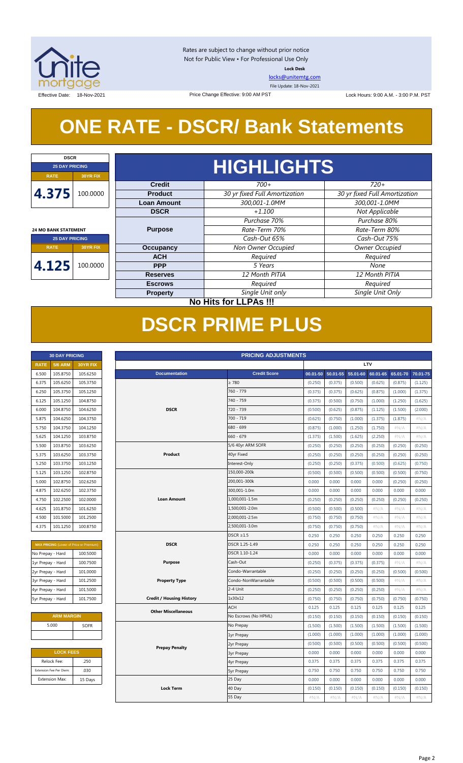

Rates are subject to change without prior notice Not for Public View • For Professional Use Only **Lock Desk**

[locks@unitemtg.com](mailto:locks@unitemtg.com)

File Update: 18-Nov-2021

Effective Date: 18-Nov-2021 **Date: 18-Nov-2021** Price Change Effective: 9:00 AM PST Lock Hours: 9:00 A.M. - 3:00 P.M. PST

## **ONE RATE - DSCR/ Bank Statements**

Price Change Effective: 9:00 AM PST

| <b>DSCR</b>                 |                              |                    |                               |                               |  |  |  |  |  |  |
|-----------------------------|------------------------------|--------------------|-------------------------------|-------------------------------|--|--|--|--|--|--|
| <b>25 DAY PRICING</b>       |                              |                    | <b>HIGHLIGHTS</b>             |                               |  |  |  |  |  |  |
| <b>RATE</b>                 | <b>30YR FIX</b>              |                    |                               |                               |  |  |  |  |  |  |
|                             |                              | <b>Credit</b>      | $700+$                        | $720+$                        |  |  |  |  |  |  |
| 4.375                       | 100.0000                     | <b>Product</b>     | 30 yr fixed Full Amortization | 30 yr fixed Full Amortization |  |  |  |  |  |  |
|                             |                              | <b>Loan Amount</b> | 300,001-1.0MM                 | 300,001-1.0MM                 |  |  |  |  |  |  |
|                             |                              | <b>DSCR</b>        | $+1.100$                      | Not Applicable                |  |  |  |  |  |  |
|                             |                              |                    | Purchase 70%                  | Purchase 80%                  |  |  |  |  |  |  |
| <b>24 MO BANK STATEMENT</b> |                              | <b>Purpose</b>     | Rate-Term 70%                 | Rate-Term 80%                 |  |  |  |  |  |  |
| <b>25 DAY PRICING</b>       |                              |                    | Cash-Out 65%                  | Cash-Out 75%                  |  |  |  |  |  |  |
| <b>RATE</b>                 | <b>30YR FIX</b>              | <b>Occupancy</b>   | Non Owner Occupied            | Owner Occupied                |  |  |  |  |  |  |
|                             |                              | <b>ACH</b>         | Required                      | Required                      |  |  |  |  |  |  |
| 4.125                       | 100.0000                     | <b>PPP</b>         | 5 Years                       | None                          |  |  |  |  |  |  |
|                             |                              | <b>Reserves</b>    | 12 Month PITIA                | 12 Month PITIA                |  |  |  |  |  |  |
|                             |                              | <b>Escrows</b>     | Required                      | Required                      |  |  |  |  |  |  |
|                             |                              | <b>Property</b>    | Single Unit only              | Single Unit Only              |  |  |  |  |  |  |
|                             | <b>No Hits for LLPAs !!!</b> |                    |                               |                               |  |  |  |  |  |  |

## **DSCR PRIME PLUS**

|             | <b>30 DAY PRICING</b> |                 |
|-------------|-----------------------|-----------------|
| <b>RATE</b> | 5/6 ARM               | <b>30YR FIX</b> |
| 6.500       | 105.8750              | 105.6250        |
| 6.375       | 105.6250              | 105.3750        |
| 6.250       | 105.3750              | 105.1250        |
| 6.125       | 105.1250              | 104.8750        |
| 6.000       | 104.8750              | 104.6250        |
| 5.875       | 104.6250              | 104.3750        |
| 5.750       | 104.3750              | 104.1250        |
| 5.625       | 104.1250              | 103.8750        |
| 5.500       | 103.8750              | 103.6250        |
| 5.375       | 103.6250              | 103.3750        |
| 5.250       | 103.3750              | 103.1250        |
| 5.125       | 103.1250              | 102.8750        |
| 5.000       | 102.8750              | 102.6250        |
| 4.875       | 102.6250              | 102.3750        |
| 4.750       | 102.2500              | 102.0000        |
| 4.625       | 101.8750              | 101.6250        |
| 4.500       | 101.5000              | 101.2500        |
| 4.375       | 101.1250              | 100.8750        |

| <b>MAX PRICING</b> (Lower of Price or Premium) |          |  |  |  |  |  |  |
|------------------------------------------------|----------|--|--|--|--|--|--|
| No Prepay - Hard                               | 100.5000 |  |  |  |  |  |  |
| 1yr Prepay - Hard                              | 100.7500 |  |  |  |  |  |  |
| 2yr Prepay - Hard                              | 101.0000 |  |  |  |  |  |  |
| 3yr Prepay - Hard                              | 101.2500 |  |  |  |  |  |  |
| 4yr Prepay - Hard                              | 101.5000 |  |  |  |  |  |  |
| 5yr Prepay - Hard                              | 101.7500 |  |  |  |  |  |  |

| <b>ARM MARGIN</b> |             |  |  |  |  |  |
|-------------------|-------------|--|--|--|--|--|
| 5.000             | <b>SOFR</b> |  |  |  |  |  |
|                   |             |  |  |  |  |  |

| <b>LOCK FEES</b>        |         |  |  |  |  |  |
|-------------------------|---------|--|--|--|--|--|
| Relock Fee:             | .250    |  |  |  |  |  |
| Extension Fee Per Diem: | .030    |  |  |  |  |  |
| <b>Extension Max:</b>   | 15 Days |  |  |  |  |  |
|                         |         |  |  |  |  |  |

|                   | <b>30 DAY PRICING</b>   |                                                | <b>PRICING ADJUSTMENTS</b>      |                      |          |          |          |            |          |          |
|-------------------|-------------------------|------------------------------------------------|---------------------------------|----------------------|----------|----------|----------|------------|----------|----------|
| <b>RATE</b>       | <b>5/6 ARM</b>          | 30YR FIX                                       |                                 |                      |          |          |          | <b>LTV</b> |          |          |
| 6.500             | 105.8750                | 105.6250                                       | <b>Documentation</b>            | <b>Credit Score</b>  | 00.01-50 | 50.01-55 | 55.01-60 | 60.01-65   | 65.01-70 | 70.01-75 |
| 6.375             | 105.6250                | 105.3750                                       |                                 | $\geq 780$           | (0.250)  | (0.375)  | (0.500)  | (0.625)    | (0.875)  | (1.125)  |
| 6.250             | 105.3750                | 105.1250                                       |                                 | 760 - 779            | (0.375)  | (0.375)  | (0.625)  | (0.875)    | (1.000)  | (1.375)  |
| 6.125             | 105.1250                | 104.8750                                       |                                 | 740 - 759            | (0.375)  | (0.500)  | (0.750)  | (1.000)    | (1.250)  | (1.625)  |
| 6.000             | 104.8750                | 104.6250                                       | <b>DSCR</b>                     | 720 - 739            | (0.500)  | (0.625)  | (0.875)  | (1.125)    | (1.500)  | (2.000)  |
| 5.875             | 104.6250                | 104.3750                                       |                                 | 700 - 719            | (0.625)  | (0.750)  | (1.000)  | (1.375)    | (1.875)  | #N/A     |
| 5.750             | 104.3750                | 104.1250                                       |                                 | 680 - 699            | (0.875)  | (1.000)  | (1.250)  | (1.750)    | #N/A     | #N/A     |
| 5.625             | 104.1250                | 103.8750                                       |                                 | $660 - 679$          | (1.375)  | (1.500)  | (1.625)  | (2.250)    | $\#N/A$  | #N/A     |
| 5.500             | 103.8750                | 103.6250                                       |                                 | 5/6 40yr ARM SOFR    | (0.250)  | (0.250)  | (0.250)  | (0.250)    | (0.250)  | (0.250)  |
| 5.375             | 103.6250                | 103.3750                                       | Product                         | 40yr Fixed           | (0.250)  | (0.250)  | (0.250)  | (0.250)    | (0.250)  | (0.250)  |
| 5.250             | 103.3750                | 103.1250                                       |                                 | Interest-Only        | (0.250)  | (0.250)  | (0.375)  | (0.500)    | (0.625)  | (0.750)  |
| 5.125             | 103.1250                | 102.8750                                       |                                 | 150,000-200k         | (0.500)  | (0.500)  | (0.500)  | (0.500)    | (0.500)  | (0.750)  |
| 5.000             | 102.8750                | 102.6250                                       |                                 | 200,001-300k         | 0.000    | 0.000    | 0.000    | 0.000      | (0.250)  | (0.250)  |
| 4.875             | 102.6250                | 102.3750                                       |                                 | 300,001-1.0m         | 0.000    | 0.000    | 0.000    | 0.000      | 0.000    | 0.000    |
| 4.750             | 102.2500                | 102.0000                                       | <b>Loan Amount</b>              | 1,000,001-1.5m       | (0.250)  | (0.250)  | (0.250)  | (0.250)    | (0.250)  | (0.250)  |
| 4.625             | 101.8750                | 101.6250                                       |                                 | 1,500,001-2.0m       | (0.500)  | (0.500)  | (0.500)  | $\#N/A$    | #N/A     | #N/A     |
| 4.500             | 101.5000                | 101.2500                                       |                                 | 2,000,001-2.5m       | (0.750)  | (0.750)  | (0.750)  | #N/A       | #N/A     | #N/A     |
| 4.375             | 101.1250                | 100.8750                                       |                                 | 2,500,001-3.0m       | (0.750)  | (0.750)  | (0.750)  | $\#N/A$    | #N/A     | #N/A     |
|                   |                         |                                                |                                 | $DSCR \geq 1.5$      | 0.250    | 0.250    | 0.250    | 0.250      | 0.250    | 0.250    |
|                   |                         | <b>MAX PRICING</b> (Lower of Price or Premium) | <b>DSCR</b>                     | DSCR 1.25-1.49       | 0.250    | 0.250    | 0.250    | 0.250      | 0.250    | 0.250    |
| No Prepay - Hard  |                         | 100.5000                                       |                                 | DSCR 1.10-1.24       | 0.000    | 0.000    | 0.000    | 0.000      | 0.000    | 0.000    |
| 1yr Prepay - Hard |                         | 100.7500                                       | <b>Purpose</b>                  | Cash-Out             | (0.250)  | (0.375)  | (0.375)  | (0.375)    | $\#N/A$  | #N/A     |
| 2yr Prepay - Hard |                         | 101.0000                                       |                                 | Condo-Warrantable    | (0.250)  | (0.250)  | (0.250)  | (0.250)    | (0.500)  | (0.500)  |
| 3yr Prepay - Hard |                         | 101.2500                                       | <b>Property Type</b>            | Condo-NonWarrantable | (0.500)  | (0.500)  | (0.500)  | (0.500)    | #N/A     | #N/A     |
| 4yr Prepay - Hard |                         | 101.5000                                       |                                 | 2-4 Unit             | (0.250)  | (0.250)  | (0.250)  | (0.250)    | #N/A     | #N/A     |
| 5yr Prepay - Hard |                         | 101.7500                                       | <b>Credit / Housing History</b> | 1x30x12              | (0.750)  | (0.750)  | (0.750)  | (0.750)    | (0.750)  | (0.750)  |
|                   |                         |                                                | <b>Other Miscellaneous</b>      | <b>ACH</b>           | 0.125    | 0.125    | 0.125    | 0.125      | 0.125    | 0.125    |
|                   | <b>ARM MARGIN</b>       |                                                |                                 | No Escrows (No HPML) | (0.150)  | (0.150)  | (0.150)  | (0.150)    | (0.150)  | (0.150)  |
|                   | 5.000                   | SOFR                                           |                                 | No Prepay            | (1.500)  | (1.500)  | (1.500)  | (1.500)    | (1.500)  | (1.500)  |
|                   |                         |                                                |                                 | 1yr Prepay           | (1.000)  | (1.000)  | (1.000)  | (1.000)    | (1.000)  | (1.000)  |
|                   |                         |                                                | <b>Prepay Penalty</b>           | 2yr Prepay           | (0.500)  | (0.500)  | (0.500)  | (0.500)    | (0.500)  | (0.500)  |
|                   | <b>LOCK FEES</b>        |                                                |                                 | <b>3yr Prepay</b>    | 0.000    | 0.000    | 0.000    | 0.000      | 0.000    | 0.000    |
|                   | Relock Fee:             | .250                                           |                                 | 4yr Prepay           | 0.375    | 0.375    | 0.375    | 0.375      | 0.375    | 0.375    |
|                   | Extension Fee Per Diem: | .030                                           |                                 | <b>5yr Prepay</b>    | 0.750    | 0.750    | 0.750    | 0.750      | 0.750    | 0.750    |
|                   | <b>Extension Max:</b>   | 15 Days                                        |                                 | 25 Day               | 0.000    | 0.000    | 0.000    | 0.000      | 0.000    | 0.000    |
|                   |                         |                                                | <b>Lock Term</b>                | 40 Day               | (0.150)  | (0.150)  | (0.150)  | (0.150)    | (0.150)  | (0.150)  |
|                   |                         |                                                |                                 | 55 Day               | #N/A     | #N/A     | $\#N/A$  | #N/A       | #N/A     | $\#N/A$  |
|                   |                         |                                                |                                 |                      |          |          |          |            |          |          |

#### Page 2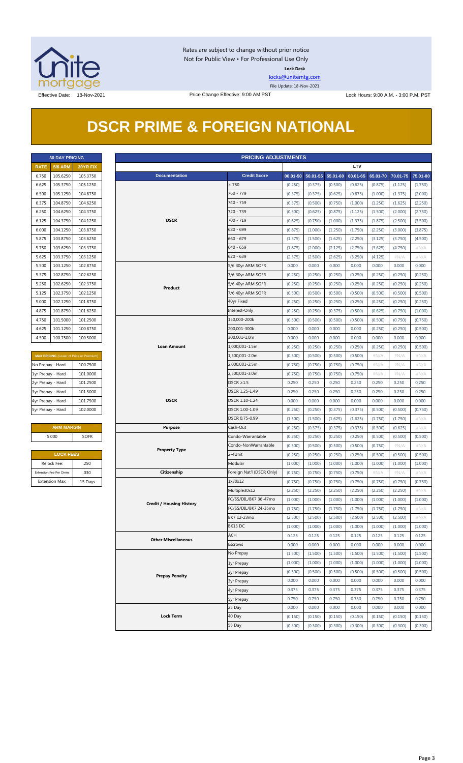

Rates are subject to change without prior notice Not for Public View • For Professional Use Only **Lock Desk**

[locks@unitemtg.com](mailto:locks@unitemtg.com)

File Update: 18-Nov-2021

## **DSCR PRIME & FOREIGN NATIONAL**

|             | <b>30 DAY PRICING</b> |                 |
|-------------|-----------------------|-----------------|
| <b>RATE</b> | <b>5/6 ARM</b>        | <b>30YR FIX</b> |
| 6.750       | 105.6250              | 105.3750        |
| 6.625       | 105.3750              | 105.1250        |
| 6.500       | 105.1250              | 104.8750        |
| 6.375       | 104.8750              | 104.6250        |
| 6.250       | 104.6250              | 104.3750        |
| 6.125       | 104.3750              | 104.1250        |
| 6.000       | 104.1250              | 103.8750        |
| 5.875       | 103.8750              | 103.6250        |
| 5.750       | 103.6250              | 103.3750        |
| 5.625       | 103.3750              | 103.1250        |
| 5.500       | 103.1250              | 102.8750        |
| 5.375       | 102.8750              | 102.6250        |
| 5.250       | 102.6250              | 102.3750        |
| 5.125       | 102.3750              | 102.1250        |
| 5.000       | 102.1250              | 101.8750        |
| 4.875       | 101.8750              | 101.6250        |
| 4.750       | 101.5000              | 101.2500        |
| 4.625       | 101.1250              | 100.8750        |
| 4.500       | 100.7500              | 100.5000        |

| <b>MAX PRICING</b> (Lower of Price or Premium) |          |  |  |  |  |  |
|------------------------------------------------|----------|--|--|--|--|--|
| No Prepay - Hard                               | 100.7500 |  |  |  |  |  |
| 1yr Prepay - Hard                              | 101.0000 |  |  |  |  |  |
| 2yr Prepay - Hard                              | 101.2500 |  |  |  |  |  |
| 3yr Prepay - Hard                              | 101.5000 |  |  |  |  |  |
| 4yr Prepay - Hard                              | 101.7500 |  |  |  |  |  |
| 5yr Prepay - Hard                              | 102.0000 |  |  |  |  |  |

| <b>ARM MARGIN</b> |       |  |  |  |  |  |
|-------------------|-------|--|--|--|--|--|
| <b>SOFR</b>       | 5.000 |  |  |  |  |  |
|                   |       |  |  |  |  |  |

| <b>LOCK FEES</b>        |         |  |  |  |  |
|-------------------------|---------|--|--|--|--|
| Relock Fee:             | .250    |  |  |  |  |
| Extension Fee Per Diem: | .030    |  |  |  |  |
| <b>Extension Max:</b>   | 15 Days |  |  |  |  |

| <b>PRICING ADJUSTMENTS</b><br><b>30 DAY PRICING</b> |                         |                                                |                                 |                             |          |                   |         |            |         |                            |         |
|-----------------------------------------------------|-------------------------|------------------------------------------------|---------------------------------|-----------------------------|----------|-------------------|---------|------------|---------|----------------------------|---------|
| <b>RATE</b>                                         | <b>5/6 ARM</b>          | 30YR FIX                                       |                                 |                             |          |                   |         | <b>LTV</b> |         |                            |         |
| 6.750                                               | 105.6250                | 105.3750                                       | <b>Documentation</b>            | <b>Credit Score</b>         | 00.01-50 | 50.01-55 55.01-60 |         | 60.01-65   |         | 65.01-70 70.01-75 75.01-80 |         |
| 6.625                                               | 105.3750                | 105.1250                                       |                                 | $\geq 780$                  | (0.250)  | (0.375)           | (0.500) | (0.625)    | (0.875) | (1.125)                    | (1.750) |
| 6.500                                               | 105.1250                | 104.8750                                       |                                 | 760 - 779                   | (0.375)  | (0.375)           | (0.625) | (0.875)    | (1.000) | (1.375)                    | (2.000) |
| 6.375                                               | 104.8750                | 104.6250                                       |                                 | 740 - 759                   | (0.375)  | (0.500)           | (0.750) | (1.000)    | (1.250) | (1.625)                    | (2.250) |
| 6.250                                               | 104.6250                | 104.3750                                       |                                 | 720 - 739                   | (0.500)  | (0.625)           | (0.875) | (1.125)    | (1.500) | (2.000)                    | (2.750) |
| 6.125                                               | 104.3750                | 104.1250                                       | <b>DSCR</b>                     | $700 - 719$                 | (0.625)  | (0.750)           | (1.000) | (1.375)    | (1.875) | (2.500)                    | (3.500) |
| 6.000                                               | 104.1250                | 103.8750                                       |                                 | 680 - 699                   | (0.875)  | (1.000)           | (1.250) | (1.750)    | (2.250) | (3.000)                    | (3.875) |
| 5.875                                               | 103.8750                | 103.6250                                       |                                 | $660 - 679$                 | (1.375)  | (1.500)           | (1.625) | (2.250)    | (3.125) | (3.750)                    | (4.500) |
| 5.750                                               | 103.6250                | 103.3750                                       |                                 | $640 - 659$                 | (1.875)  | (2.000)           | (2.125) | (2.750)    | (3.625) | (4.750)                    | #N/A    |
| 5.625                                               | 103.3750                | 103.1250                                       |                                 | $620 - 639$                 | (2.375)  | (2.500)           | (2.625) | (3.250)    | (4.125) | $\#N/A$                    | $\#N/A$ |
| 5.500                                               | 103.1250                | 102.8750                                       |                                 | 5/6 30yr ARM SOFR           | 0.000    | 0.000             | 0.000   | 0.000      | 0.000   | 0.000                      | 0.000   |
| 5.375                                               | 102.8750                | 102.6250                                       |                                 | 7/6 30yr ARM SOFR           | (0.250)  | (0.250)           | (0.250) | (0.250)    | (0.250) | (0.250)                    | (0.250) |
| 5.250                                               | 102.6250                | 102.3750                                       |                                 | 5/6 40yr ARM SOFR           | (0.250)  | (0.250)           | (0.250) | (0.250)    | (0.250) | (0.250)                    | (0.250) |
| 5.125                                               | 102.3750                | 102.1250                                       | Product                         | 7/6 40yr ARM SOFR           | (0.500)  | (0.500)           | (0.500) | (0.500)    | (0.500) | (0.500)                    | (0.500) |
| 5.000                                               | 102.1250                | 101.8750                                       |                                 | 40yr Fixed                  | (0.250)  | (0.250)           | (0.250) | (0.250)    | (0.250) | (0.250)                    | (0.250) |
| 4.875                                               | 101.8750                | 101.6250                                       |                                 | Interest-Only               | (0.250)  | (0.250)           | (0.375) | (0.500)    | (0.625) | (0.750)                    | (1.000) |
| 4.750                                               | 101.5000                | 101.2500                                       |                                 | 150,000-200k                | (0.500)  | (0.500)           | (0.500) | (0.500)    | (0.500) | (0.750)                    | (0.750) |
| 4.625                                               | 101.1250                | 100.8750                                       |                                 | 200,001-300k                | 0.000    | 0.000             | 0.000   | 0.000      | (0.250) | (0.250)                    | (0.500) |
| 4.500                                               | 100.7500                | 100.5000                                       |                                 | 300,001-1.0m                | 0.000    | 0.000             | 0.000   | 0.000      | 0.000   | 0.000                      | 0.000   |
|                                                     |                         |                                                | <b>Loan Amount</b>              | 1,000,001-1.5m              | (0.250)  | (0.250)           | (0.250) | (0.250)    | (0.250) | (0.250)                    | (0.500) |
|                                                     |                         | <b>MAX PRICING</b> (Lower of Price or Premium) |                                 | 1,500,001-2.0m              | (0.500)  | (0.500)           | (0.500) | (0.500)    | # $N/A$ | $\#N/A$                    | # $N/A$ |
| No Prepay - Hard                                    |                         | 100.7500                                       |                                 | 2,000,001-2.5m              | (0.750)  | (0.750)           | (0.750) | (0.750)    | # $N/A$ | $\#N/A$                    | # $N/A$ |
| 1yr Prepay - Hard                                   |                         | 101.0000                                       |                                 | 2,500,001-3.0m              | (0.750)  | (0.750)           | (0.750) | (0.750)    | # $N/A$ | $\#N/A$                    | # $N/A$ |
| 2yr Prepay - Hard                                   |                         | 101.2500                                       |                                 | $DSCR \geq 1.5$             | 0.250    | 0.250             | 0.250   | 0.250      | 0.250   | 0.250                      | 0.250   |
| 3yr Prepay - Hard                                   |                         | 101.5000                                       |                                 | DSCR 1.25-1.49              | 0.250    | 0.250             | 0.250   | 0.250      | 0.250   | 0.250                      | 0.250   |
| 4yr Prepay - Hard                                   |                         | 101.7500                                       | <b>DSCR</b>                     | DSCR 1.10-1.24              | 0.000    | 0.000             | 0.000   | 0.000      | 0.000   | 0.000                      | 0.000   |
| 5yr Prepay - Hard                                   |                         | 102.0000                                       |                                 | DSCR 1.00-1.09              | (0.250)  | (0.250)           | (0.375) | (0.375)    | (0.500) | (0.500)                    | (0.750) |
|                                                     |                         |                                                |                                 | DSCR 0.75-0.99              | (1.500)  | (1.500)           | (1.625) | (1.625)    | (1.750) | (1.750)                    | $\#N/A$ |
|                                                     | <b>ARM MARGIN</b>       |                                                | <b>Purpose</b>                  | Cash-Out                    | (0.250)  | (0.375)           | (0.375) | (0.375)    | (0.500) | (0.625)                    | $\#N/A$ |
|                                                     | 5.000                   | <b>SOFR</b>                                    |                                 | Condo-Warrantable           | (0.250)  | (0.250)           | (0.250) | (0.250)    | (0.500) | (0.500)                    | (0.500) |
|                                                     |                         |                                                |                                 | Condo-NonWarrantable        | (0.500)  | (0.500)           | (0.500) | (0.500)    | (0.750) | $\#N/A$                    | #N/A    |
|                                                     | <b>LOCK FEES</b>        |                                                | <b>Property Type</b>            | 2-4Unit                     | (0.250)  | (0.250)           | (0.250) | (0.250)    | (0.500) | (0.500)                    | (0.500) |
|                                                     | Relock Fee:             | .250                                           |                                 | Modular                     | (1.000)  | (1.000)           | (1.000) | (1.000)    | (1.000) | (1.000)                    | (1.000) |
|                                                     | Extension Fee Per Diem: | .030                                           | Citizenship                     | Foreign Nat'l (DSCR Only)   | (0.750)  | (0.750)           | (0.750) | (0.750)    | $\#N/A$ | $\#N/A$                    | $\#N/A$ |
|                                                     | Extension Max:          | 15 Days                                        |                                 | 1x30x12                     | (0.750)  | (0.750)           | (0.750) | (0.750)    | (0.750) | (0.750)                    | (0.750) |
|                                                     |                         |                                                |                                 | Multiple30x12               | (2.250)  | (2.250)           | (2.250) | (2.250)    | (2.250) | (2.250)                    | $\#N/A$ |
|                                                     |                         |                                                |                                 | FC/SS/DIL/BK7 36-47mo       | (1.000)  | (1.000)           | (1.000) | (1.000)    | (1.000) | (1.000)                    | (1.000) |
|                                                     |                         |                                                | <b>Credit / Housing History</b> | FC/SS/DIL/BK7 24-35mo       | (1.750)  | (1.750)           | (1.750) | (1.750)    | (1.750) | (1.750)                    | #N/A    |
|                                                     |                         |                                                |                                 | BK7 12-23mo                 | (2.500)  | (2.500)           | (2.500) | (2.500)    | (2.500) | (2.500)                    | $\#N/A$ |
|                                                     |                         |                                                |                                 | BK13 DC                     | (1.000)  | (1.000)           | (1.000) | (1.000)    | (1.000) | (1.000)                    | (1.000) |
|                                                     |                         |                                                |                                 | ACH                         | 0.125    | 0.125             | 0.125   | 0.125      | 0.125   | 0.125                      | 0.125   |
|                                                     |                         |                                                | <b>Other Miscellaneous</b>      | Escrows                     | 0.000    | 0.000             | 0.000   | 0.000      | 0.000   | 0.000                      | 0.000   |
|                                                     |                         |                                                |                                 | No Prepay                   | (1.500)  | (1.500)           | (1.500) | (1.500)    | (1.500) | (1.500)                    | (1.500) |
|                                                     |                         |                                                |                                 |                             | (1.000)  | (1.000)           | (1.000) | (1.000)    | (1.000) | (1.000)                    | (1.000) |
|                                                     |                         |                                                |                                 | 1yr Prepay                  | (0.500)  | (0.500)           | (0.500) | (0.500)    | (0.500) | (0.500)                    | (0.500) |
|                                                     |                         |                                                | <b>Prepay Penalty</b>           | 2yr Prepay                  | 0.000    | 0.000             | 0.000   | 0.000      | 0.000   | 0.000                      | 0.000   |
|                                                     |                         |                                                |                                 | <b>3yr Prepay</b>           | 0.375    | 0.375             | 0.375   | 0.375      | 0.375   | 0.375                      | 0.375   |
|                                                     |                         |                                                |                                 | 4yr Prepay                  |          |                   | 0.750   | 0.750      | 0.750   | 0.750                      |         |
|                                                     |                         |                                                |                                 | <b>5yr Prepay</b><br>25 Day | 0.750    | 0.750             |         |            |         |                            | 0.750   |
|                                                     |                         |                                                |                                 |                             | 0.000    | 0.000             | 0.000   | 0.000      | 0.000   | 0.000                      | 0.000   |
|                                                     |                         |                                                | <b>Lock Term</b>                | 40 Day                      | (0.150)  | (0.150)           | (0.150) | (0.150)    | (0.150) | (0.150)                    | (0.150) |
|                                                     |                         |                                                |                                 | 55 Day                      | (0.300)  | (0.300)           | (0.300) | (0.300)    | (0.300) | (0.300)                    | (0.300) |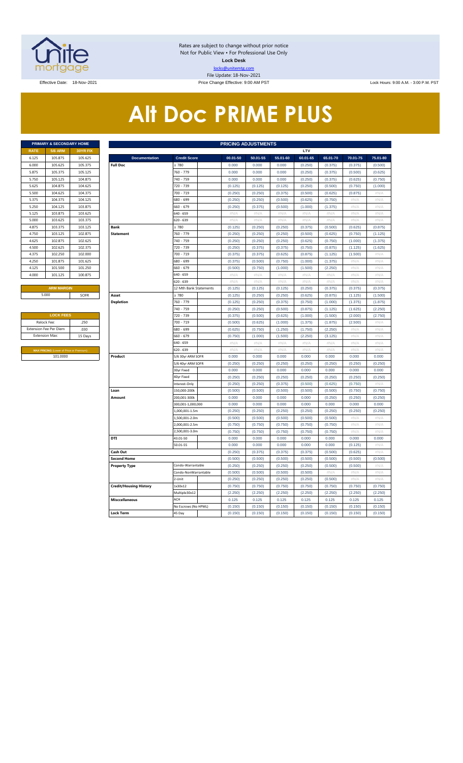

Rates are subject to change without prior notice Not for Public View • For Professional Use Only **Lock Desk** locks@unitemtg.com File Update: 18-Nov-2021

Effective Date: 18-Nov-2021 **Price Change Effective: 9:00 AM PST** Lock Hours: 9:00 A.M. - 3:00 P.M. PST

# **Alt Doc PRIME PLUS**

|             | PRIMARY & SECONDARY HOME |                 |
|-------------|--------------------------|-----------------|
| <b>RATE</b> | <b>5/6 ARM</b>           | <b>30YR FIX</b> |
| 6.125       | 105.875                  | 105.625         |
| 6.000       | 105.625                  | 105.375         |
| 5.875       | 105.375                  | 105.125         |
| 5.750       | 105.125                  | 104.875         |
| 5.625       | 104.875                  | 104.625         |
| 5.500       | 104.625                  | 104.375         |
| 5.375       | 104.375                  | 104.125         |
| 5.250       | 104.125                  | 103.875         |
| 5.125       | 103.875                  | 103.625         |
| 5.000       | 103.625                  | 103.375         |
| 4.875       | 103.375                  | 103.125         |
| 4.750       | 103.125                  | 102.875         |
| 4.625       | 102.875                  | 102.625         |
| 4.500       | 102.625                  | 102.375         |
| 4.375       | 102.250                  | 102.000         |
| 4.250       | 101.875                  | 101.625         |
| 4.125       | 101.500                  | 101.250         |
| 4.000       | 101.125                  | 100.875         |
|             |                          |                 |

| <b>LOCK FEES</b>                               |         |
|------------------------------------------------|---------|
| Relock Fee:                                    | .250    |
| <b>Extension Fee Per Diem</b>                  | .030    |
| <b>Extension Max:</b>                          | 15 Days |
|                                                |         |
| <b>MAX PRICING (Lower of Price or Premium)</b> |         |
| 101.0000                                       |         |

|                | PRIMARY & SECONDARY HOME                |          |                               |                               | <b>PRICING ADJUSTMENTS</b> |                    |                    |                    |                    |                    |                   |
|----------------|-----------------------------------------|----------|-------------------------------|-------------------------------|----------------------------|--------------------|--------------------|--------------------|--------------------|--------------------|-------------------|
| <b>RATE</b>    | <b>5/6 ARM</b>                          | 30YR FIX |                               |                               |                            |                    |                    | LTV                |                    |                    |                   |
| 6.125          | 105.875                                 | 105.625  | <b>Documentation</b>          | <b>Credit Score</b>           | 00.01-50                   | 50.01-55           | 55.01-60           | 60.01-65           | 65.01-70           | 70.01-75           | 75.01-80          |
| 6.000          | 105.625                                 | 105.375  | <b>Full Doc</b>               | 2780                          | 0.000                      | 0.000              | 0.000              | (0.250)            | (0.375)            | (0.375)            | (0.500)           |
| 5.875          | 105.375                                 | 105.125  |                               | 760 - 779                     | 0.000                      | 0.000              | 0.000              | (0.250)            | (0.375)            | (0.500)            | (0.625)           |
| 5.750          | 105.125                                 | 104.875  |                               | 740 - 759                     | 0.000                      | 0.000              | 0.000              | (0.250)            | (0.375)            | (0.625)            | (0.750)           |
| 5.625          | 104.875                                 | 104.625  |                               | 720 - 739                     | (0.125)                    | (0.125)            | (0.125)            | (0.250)            | (0.500)            | (0.750)            | (1.000)           |
| 5.500          | 104.625                                 | 104.375  |                               | 700 - 719                     | (0.250)                    | (0.250)            | (0.375)            | (0.500)            | (0.625)            | (0.875)            | #N/A              |
| 5.375          | 104.375                                 | 104.125  |                               | 680 - 699                     | (0.250)                    | (0.250)            | (0.500)            | (0.625)            | (0.750)            | #N/A               | $\#N/A$           |
| 5.250          | 104.125                                 | 103.875  |                               | 660 - 679                     | (0.250)                    | (0.375)            | (0.500)            | (1.000)            | (1.375)            | #N/A               | #N/A              |
| 5.125          | 103.875                                 | 103.625  |                               | 640 - 659                     | #N/A                       | #N/A               | #N/A               | #N/A               | #N/A               | #N/A               | #N/A              |
| 5.000          | 103.625                                 | 103.375  |                               | 620 - 639                     | $\#N/A$                    | #N/A               | $\#N/A$            | #N/A               | #N/A               | #N/A               | #N/A              |
| 4.875          | 103.375                                 | 103.125  | <b>Bank</b>                   | $\geq 780$                    | (0.125)                    | (0.250)            | (0.250)            | (0.375)            | (0.500)            | (0.625)            | (0.875)           |
| 4.750          | 103.125                                 | 102.875  | <b>Statement</b>              | 760 - 779                     | (0.250)                    | (0.250)            | (0.250)            | (0.500)            | (0.625)            | (0.750)            | (1.125)           |
| 4.625          | 102.875                                 | 102.625  |                               | 740 - 759                     | (0.250)                    | (0.250)            | (0.250)            | (0.625)            | (0.750)            | (1.000)            | (1.375)           |
| 4.500          | 102.625                                 | 102.375  |                               | 720 - 739                     | (0.250)                    | (0.375)            | (0.375)            | (0.750)            | (0.875)            | (1.125)            | (1.625)           |
| 4.375          | 102.250                                 | 102.000  |                               | 700 - 719                     | (0.375)                    | (0.375)            | (0.625)            | (0.875)            | (1.125)            | (1.500)            | $\#N/\beta$       |
| 4.250          | 101.875                                 | 101.625  |                               | 680 - 699                     | (0.375)                    | (0.500)            | (0.750)            | (1.000)            | (1.375)            | #N//               | #N/A              |
| 4.125          | 101.500                                 | 101.250  |                               | 660 - 679                     | (0.500)                    | (0.750)            | (1.000)            | (1.500)            | (2.250)            | #N/A               | #N/A              |
| 4.000          | 101.125                                 | 100.875  |                               | 540 - 659                     | #N/A                       | #N/A               | #N/A               | $\#N/A$            | #N/A               | #N/A               | #N/A              |
|                |                                         |          |                               | 620 - 639                     | $\#\mathsf{N}/\mathsf{A}$  | # $N/A$            | $\#N/A$            | # $N/A$            | #N/A               | # $N/A$            | #N/A              |
|                | <b>ARM MARGIN</b>                       |          |                               | 12 Mth Bank Statements        | (0.125)                    | (0.125)            | (0.125)            | (0.250)            | (0.375)            | (0.375)            | (0.375)           |
|                | 5.000                                   | SOFR     | Asset                         | $\geq 780$                    | (0.125)                    | (0.250)            | (0.250)            | (0.625)            | (0.875)            | (1.125)            | (1.500)           |
|                |                                         |          | <b>Depletion</b>              | 760 - 779                     | (0.125)                    | (0.250)            | (0.375)            | (0.750)            | (1.000)            | (1.375)            | (1.875)           |
|                |                                         |          |                               | 740 - 759                     | (0.250)                    | (0.250)            | (0.500)            | (0.875)            | (1.125)            | (1.625)            | (2.250)           |
|                | <b>LOCK FEES</b>                        |          |                               | 720 - 739                     | (0.375)                    | (0.500)            | (0.625)            | (1.000)            | (1.500)            | (2.000)            | (2.750)           |
|                | Relock Fee:                             | .250     |                               | 700 - 719                     | (0.500)                    | (0.625)            | (1.000)            | (1.375)            | (1.875)            | (2.500)            | #N/A              |
|                | xtension Fee Per Diem                   | .030     |                               | 680 - 699                     | (0.625)                    | (0.750)            | (1.250)            | (1.750)            | (2.250)            | #N/A               | #N/A              |
| Extension Max: |                                         | 15 Days  |                               | 660 - 679                     | (0.750)                    | (1.000)            | (1.500)            | (2.250)            | (3.125)            | #N/A               | #N/A              |
|                |                                         |          |                               | 640 - 659                     | #N/A                       | #N/A               | #N/A               | #N/A               | #N/A               | #N/A               | $\#N/A$           |
|                | MAX PRICING (Lower of Price or Premium) |          |                               | 620 - 639                     | $\#N/A$                    | #N/A               | #N/A               | #N/A               | #N/A               | #N//               | #N/A              |
|                | 101.0000                                |          | Product                       | 5/6 30yr ARM SOFR             | 0.000                      | 0.000              | 0.000              | 0.000              | 0.000              | 0.000              | 0.000             |
|                |                                         |          |                               | 5/6 40yr ARM SOFR             | (0.250)                    | (0.250)            | (0.250)            | (0.250)            | (0.250)            | (0.250)            | (0.250)           |
|                |                                         |          |                               | 30yr Fixed                    | 0.000                      | 0.000              | 0.000              | 0.000              | 0.000              | 0.000              | 0.000             |
|                |                                         |          |                               | 40yr Fixed                    | (0.250)                    | (0.250)            | (0.250)            | (0.250)            | (0.250)            | (0.250)            | (0.250)           |
|                |                                         |          | Loan                          | Interest-Only<br>150,000-200k | (0.250)<br>(0.500)         | (0.250)<br>(0.500) | (0.375)<br>(0.500) | (0.500)<br>(0.500) | (0.625)<br>(0.500) | (0.750)<br>(0.750) | #N/A<br>(0.750)   |
|                |                                         |          | Amount                        | 200,001-300k                  | 0.000                      | 0.000              | 0.000              | 0.000              | (0.250)            | (0.250)            | (0.250)           |
|                |                                         |          |                               | 300,001-1,000,000             | 0.000                      | 0.000              | 0.000              | 0.000              | 0.000              | 0.000              | 0.000             |
|                |                                         |          |                               | 1,000,001-1.5m                | (0.250)                    | (0.250)            | (0.250)            | (0.250)            | (0.250)            | (0.250)            | (0.250)           |
|                |                                         |          |                               | 1,500,001-2.0m                | (0.500)                    | (0.500)            | (0.500)            | (0.500)            | (0.500)            | #N/A               | $\#N/F$           |
|                |                                         |          |                               | 2,000,001-2.5m                | (0.750)                    | (0.750)            | (0.750)            | (0.750)            | (0.750)            | #N/A               | $\#N/A$           |
|                |                                         |          |                               | 2,500,001-3.0m                | (0.750)                    | (0.750)            | (0.750)            | (0.750)            | (0.750)            | $\#N/F$            | $\#N/\mathcal{A}$ |
|                |                                         |          | <b>DTI</b>                    | 43.01-50                      | 0.000                      | 0.000              | 0.000              | 0.000              | 0.000              | 0.000              | 0.000             |
|                |                                         |          |                               | 50.01-55                      | 0.000                      | 0.000              | 0.000              | 0.000              | 0.000              | (0.125)            | #N/A              |
|                |                                         |          | Cash Out                      |                               | (0.250)                    | (0.375)            | (0.375)            | (0.375)            | (0.500)            | (0.625)            | #N/A              |
|                |                                         |          | <b>Second Home</b>            |                               | (0.500)                    | (0.500)            | (0.500)            | (0.500)            | (0.500)            | (0.500)            | (0.500)           |
|                |                                         |          | <b>Property Type</b>          | Condo-Warrantable             | (0.250)                    | (0.250)            | (0.250)            | (0.250)            | (0.500)            | (0.500)            | $\#N/A$           |
|                |                                         |          |                               | Condo-NonWarrantable          | (0.500)                    | (0.500)            | (0.500)            | (0.500)            | #N/A               | #N/A               | #N/A              |
|                |                                         |          |                               | 2-Unit                        | (0.250)                    | (0.250)            | (0.250)            | (0.250)            | (0.500)            | #N/A               | $\#N/A$           |
|                |                                         |          | <b>Credit/Housing History</b> | 1x30x12                       | (0.750)                    | (0.750)            | (0.750)            | (0.750)            | (0.750)            | (0.750)            | (0.750)           |
|                |                                         |          |                               | Multiple30x12                 | (2.250)                    | (2.250)            | (2.250)            | (2.250)            | (2.250)            | (2.250)            | (2.250)           |
|                |                                         |          | <b>Misccellaneous</b>         | ACH                           | 0.125                      | 0.125              | 0.125              | 0.125              | 0.125              | 0.125              | 0.125             |
|                |                                         |          |                               | No Escrows (No HPML)          | (0.150)                    | (0.150)            | (0.150)            | (0.150)            | (0.150)            | (0.150)            | (0.150)           |
|                |                                         |          | <b>Lock Term</b>              | 45 Day                        | (0.150)                    | (0.150)            | (0.150)            | (0.150)            | (0.150)            | (0.150)            | (0.150)           |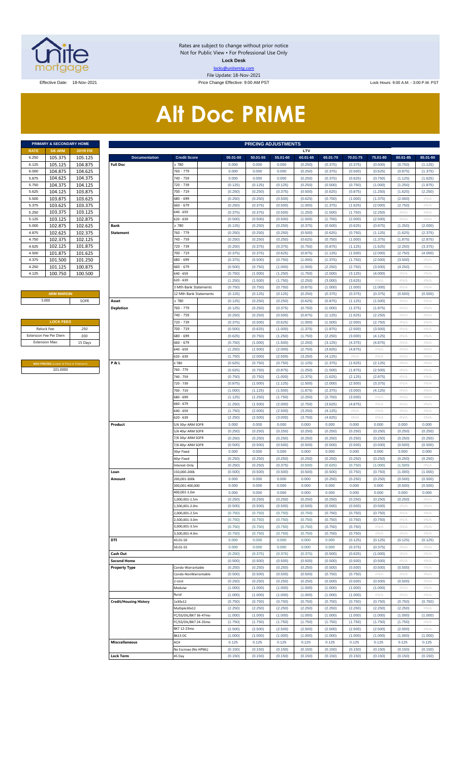

Rates are subject to change without prior notice Not for Public View • For Professional Use Only **Lock Desk** locks@unitemtg.com File Update: 18-Nov-2021

Effective Date: 18-Nov-2021 Price Change Effective: 9:00 AM PST Lock Hours: 9:00 A.M. - 3:00 P.M. PST

# **Alt Doc PRIME**

|             | PRIMARY & SECONDARY HOME |                 |
|-------------|--------------------------|-----------------|
| <b>RATE</b> | <b>5/6 ARM</b>           | <b>30YR FIX</b> |
| 6.250       | 105.375                  | 105.125         |
| 6.125       | 105.125                  | 104.875         |
| 6.000       | 104.875                  | 104.625         |
| 5.875       | 104.625                  | 104.375         |
| 5.750       | 104.375                  | 104.125         |
| 5.625       | 104.125                  | 103.875         |
| 5.500       | 103.875                  | 103.625         |
| 5.375       | 103.625                  | 103.375         |
| 5.250       | 103.375                  | 103.125         |
| 5.125       | 103.125                  | 102.875         |
| 5.000       | 102.875                  | 102.625         |
| 4.875       | 102.625                  | 102.375         |
| 4.750       | 102.375                  | 102.125         |
| 4.625       | 102.125                  | 101.875         |
| 4.500       | 101.875                  | 101.625         |
| 4.375       | 101.500                  | 101.250         |
| 4.250       | 101.125                  | 100.875         |
| 4.125       | 100.750                  | 100.500         |

#### **ARM MARGIN** 5.000

| <b>LOCK FEES</b>              |         |
|-------------------------------|---------|
| Relock Fee:                   | .250    |
| <b>Extension Fee Per Diem</b> | .030    |
| <b>Extension Max:</b>         | 15 Days |
|                               |         |

**MAX PRICING** (Lower of Price or Premium) 101.0000

|                | PRIMARY & SECONDARY HOME                            |          | <b>PRICING ADJUSTMENTS</b>    |                        |          |          |          |          |          |          |          |          |          |  |  |  |
|----------------|-----------------------------------------------------|----------|-------------------------------|------------------------|----------|----------|----------|----------|----------|----------|----------|----------|----------|--|--|--|
| RATE           | <b>5/6 ARM</b>                                      | 30YR FIX |                               |                        |          |          |          | LTV      |          |          |          |          |          |  |  |  |
| 6.250          | 105.375                                             | 105.125  | <b>Documentation</b>          | <b>Credit Score</b>    | 00.01-50 | 50.01-55 | 55.01-60 | 60.01-65 | 65.01-70 | 70.01-75 | 75.01-80 | 80.01-85 | 85.01-90 |  |  |  |
| 6.125          | 105.125                                             | 104.875  | <b>Full Doc</b>               | 2780                   | 0.000    | 0.000    | 0.000    | (0.250)  | (0.375)  | (0.375)  | (0.500)  | (0.750)  | (1.125)  |  |  |  |
| 6.000          | 104.875                                             | 104.625  |                               | 760 - 779              | 0.000    | 0.000    | 0.000    | (0.250)  | (0.375)  | (0.500)  | (0.625)  | (0.875)  | (1.375)  |  |  |  |
| 5.875          | 104.625                                             | 104.375  |                               | 740 - 759              | 0.000    | 0.000    | 0.000    | (0.250)  | (0.375)  | (0.625)  | (0.750)  | (1.125)  | (1.625)  |  |  |  |
| 5.750          | 104.375                                             | 104.125  |                               | 720 - 739              | (0.125)  | (0.125)  | (0.125)  | (0.250)  | (0.500)  | (0.750)  | (1.000)  | (1.250)  | (1.875)  |  |  |  |
| 5.625          | 104.125                                             | 103.875  |                               | 700 - 719              | (0.250)  | (0.250)  | (0.375)  | (0.500)  | (0.625)  | (0.875)  | (1.250)  | (1.625)  | (2.250)  |  |  |  |
| 5.500          | 103.875                                             | 103.625  |                               | 680 - 699              | (0.250)  | (0.250)  | (0.500)  | (0.625)  | (0.750)  | (1.000)  | (1.375)  | (2.000)  | #N/A     |  |  |  |
| 5.375          | 103.625                                             | 103.375  |                               | $660 - 679$            | (0.250)  | (0.375)  | (0.500)  | (1.000)  | (1.375)  | (1.625)  | (2.000)  | (2.750)  | #N/A     |  |  |  |
| 5.250          | 103.375                                             | 103.125  |                               | 640 - 659              | (0.375)  | (0.375)  | (0.500)  | (1.250)  | (1.500)  | (1.750)  | (2.250)  | #N/A     | #N/A     |  |  |  |
| 5.125          | 103.125                                             | 102.875  |                               | 620 - 639              | (0.500)  | (0.500)  | (0.500)  | (1.500)  | (1.750)  | (2.000)  | (2.500)  | #N/A     | #N/A     |  |  |  |
| 5.000          | 102.875                                             | 102.625  | Bank                          | 2 780                  | (0.125)  | (0.250)  | (0.250)  | (0.375)  | (0.500)  | (0.625)  | (0.875)  | (1.250)  | (2.000)  |  |  |  |
| 4.875          | 102.625                                             | 102.375  | <b>Statement</b>              | 760 - 779              | (0.250)  | (0.250)  | (0.250)  | (0.500)  | (0.625)  | (0.750)  | (1.125)  | (1.625)  | (2.375)  |  |  |  |
| 4.750          | 102.375                                             | 102.125  |                               | 740 - 759              | (0.250)  | (0.250)  | (0.250)  | (0.625)  | (0.750)  | (1.000)  | (1.375)  | (1.875)  | (2.875)  |  |  |  |
| 4.625          | 102.125                                             | 101.875  |                               | 720 - 739              | (0.250)  | (0.375)  | (0.375)  | (0.750)  | (0.875)  | (1.125)  | (1.625)  | (2.250)  | (3.375)  |  |  |  |
| 4.500          | 101.875                                             | 101.625  |                               | 700 - 719              | (0.375)  | (0.375)  | (0.625)  | (0.875)  | (1.125)  | (1.500)  | (2.000)  | (2.750)  | (4.000)  |  |  |  |
| 4.375          | 101.500                                             | 101.250  |                               | 680 - 699              | (0.375)  | (0.500)  | (0.750)  | (1.000)  | (1.375)  | (1.750)  | (2.500)  | (3.500)  | #N/A     |  |  |  |
| 4.250          | 101.125                                             | 100.875  |                               | $660 - 679$            | (0.500)  | (0.750)  | (1.000)  | (1.500)  | (2.250)  | (2.750)  | (3.500)  | (4.250)  | #N/A     |  |  |  |
|                |                                                     |          |                               | 640 - 659              |          |          |          |          |          |          |          |          |          |  |  |  |
| 4.125          | 100.750                                             | 100.500  |                               |                        | (0.750)  | (1.000)  | (1.250)  | (1.750)  | (2.500)  | (3.125)  | (4.000)  | #N/A     | #N/A     |  |  |  |
|                |                                                     |          |                               | 620 - 639              | (1.250)  | (1.500)  | (1.750)  | (2.250)  | (3.000)  | (3.625)  | #N/A     | #N/A     | #N/A     |  |  |  |
|                |                                                     |          |                               | 3 Mth Bank Statements  | (0.750)  | (0.750)  | (0.750)  | (0.875)  | (1.000)  | (1.000)  | (1.000)  | #N/A     | #N/A     |  |  |  |
|                | <b>ARM MARGIN</b>                                   |          |                               | 12 Mth Bank Statements | (0.125)  | (0.125)  | (0.125)  | (0.250)  | (0.375)  | (0.375)  | (0.375)  | (0.500)  | (0.500)  |  |  |  |
| 5.000          |                                                     | SOFR     | Asset                         | > 780                  | (0.125)  | (0.250)  | (0.250)  | (0.625)  | (0.875)  | (1.125)  | (1.500)  | #N/A     | #N/A     |  |  |  |
|                |                                                     |          | <b>Depletion</b>              | 760 - 779              | (0.125)  | (0.250)  | (0.375)  | (0.750)  | (1.000)  | (1.375)  | (1.875)  | #N/A     | #N/A     |  |  |  |
|                |                                                     |          |                               | 740 - 759              | (0.250)  | (0.250)  | (0.500)  | (0.875)  | (1.125)  | (1.625)  | (2.250)  | #N/A     | #N/A     |  |  |  |
|                | <b>LOCK FEES</b>                                    |          |                               | 720 - 739              | (0.375)  | (0.500)  | (0.625)  | (1.000)  | (1.500)  | (2.000)  | (2.750)  | #N/A     | #N/A     |  |  |  |
| Relock Fee:    |                                                     | .250     |                               | 700 - 719              | (0.500)  | (0.625)  | (1.000)  | (1.375)  | (1.875)  | (2.500)  | (3.500)  | #N/A     | #N/A     |  |  |  |
|                | xtension Fee Per Diem                               | .030     |                               | 680 - 699              | (0.625)  | (0.750)  | (1.250)  | (1.750)  | (2.250)  | (3.000)  | (4.125)  | #N/A     | #N/A     |  |  |  |
| Extension Max: |                                                     | 15 Days  |                               | 660 - 679              | (0.750)  | (1.000)  | (1.500)  | (2.250)  | (3.125)  | (4.375)  | (4.875)  | #N/A     | #N/A     |  |  |  |
|                |                                                     |          |                               | 640 - 659              | (1.250)  | (1.500)  | (2.000)  | (2.750)  | (3.625)  | (4.875)  | #N/A     | #N/A     | #N/A     |  |  |  |
|                |                                                     |          |                               | 620 - 639              | (1.750)  | (2.000)  | (2.500)  | (3.250)  | (4.125)  | #N/A     | #N/A     | #N/A     | #N/A     |  |  |  |
|                |                                                     |          | <b>P&amp;L</b>                | 2780                   | (0.625)  | (0.750)  | (0.750)  | (1.125)  | (1.375)  | (1.625)  | (2.125)  | #N/A     | #N/A     |  |  |  |
|                | MAX PRICING (Lower of Price or Premium)<br>101.0000 |          |                               | 760 - 779              | (0.625)  | (0.750)  | (0.875)  | (1.250)  | (1.500)  | (1.875)  | (2.500)  | #N/A     | #N/A     |  |  |  |
|                |                                                     |          |                               | 740 - 759              | (0.750)  | (0.750)  | (1.000)  | (1.375)  | (1.625)  | (2.125)  | (2.875)  | #N/A     | #N/A     |  |  |  |
|                |                                                     |          |                               |                        |          |          |          |          |          |          |          |          |          |  |  |  |
|                |                                                     |          |                               | 720 - 739              | (0.875)  | (1.000)  | (1.125)  | (1.500)  | (2.000)  | (2.500)  | (3.375)  | #N/A     | #N/A     |  |  |  |
|                |                                                     |          |                               | 700 - 719              | (1.000)  | (1.125)  | (1.500)  | (1.875)  | (2.375)  | (3.000)  | (4.125)  | #N/A     | #N/A     |  |  |  |
|                |                                                     |          |                               | 680 - 699              | (1.125)  | (1.250)  | (1.750)  | (2.250)  | (2.750)  | (3.500)  | #N/A     | #N/A     | #N/A     |  |  |  |
|                |                                                     |          |                               | 660 - 679              | (1.250)  | (1.500)  | (2.000)  | (2.750)  | (3.625)  | (4.875)  | #N/A     | #N/A     | #N/A     |  |  |  |
|                |                                                     |          |                               | 640 - 659              | (1.750)  | (2.000)  | (2.500)  | (3.250)  | (4.125)  | #N/A     | #N/A     | #N/A     | #N/A     |  |  |  |
|                |                                                     |          |                               | 520 - 639              | (2.250)  | (2.500)  | (3.000)  | (3.750)  | (4.625)  | #N/A     | #N/A     | #N/A     | #N/A     |  |  |  |
|                |                                                     |          | Product                       | 5/6 30yr ARM SOFR      | 0.000    | 0.000    | 0.000    | 0.000    | 0.000    | 0.000    | 0.000    | 0.000    | 0.000    |  |  |  |
|                |                                                     |          |                               | 5/6 40yr ARM SOFR      | (0.250)  | (0.250)  | (0.250)  | (0.250)  | (0.250)  | (0.250)  | (0.250)  | (0.250)  | (0.250)  |  |  |  |
|                |                                                     |          |                               | 7/6 30yr ARM SOFR      | (0.250)  | (0.250)  | (0.250)  | (0.250)  | (0.250)  | (0.250)  | (0.250)  | (0.250)  | (0.250)  |  |  |  |
|                |                                                     |          |                               | 7/6 40yr ARM SOFR      | (0.500)  | (0.500)  | (0.500)  | (0.500)  | (0.500)  | (0.500)  | (0.500)  | (0.500)  | (0.500)  |  |  |  |
|                |                                                     |          |                               | 30yr Fixed             | 0.000    | 0.000    | 0.000    | 0.000    | 0.000    | 0.000    | 0.000    | 0.000    | 0.000    |  |  |  |
|                |                                                     |          |                               | 40yr Fixed             | (0.250)  | (0.250)  | (0.250)  | (0.250)  | (0.250)  | (0.250)  | (0.250)  | (0.250)  | (0.250)  |  |  |  |
|                |                                                     |          |                               | nterest-Only           | (0.250)  | (0.250)  | (0.375)  | (0.500)  | (0.625)  | (0.750)  | (1.000)  | (1.500)  | #N/A     |  |  |  |
|                |                                                     |          | Loan                          | 150.000-200k           | (0.500)  | (0.500)  | (0.500)  | (0.500)  | (0.500)  | (0.750)  | (0.750)  | (1.000)  | (1.000)  |  |  |  |
|                |                                                     |          | Amount                        | 200,001-300k           | 0.000    | 0.000    | 0.000    | 0.000    | (0.250)  | (0.250)  | (0.250)  | (0.500)  | (0.500)  |  |  |  |
|                |                                                     |          |                               | 300,001-400,000        | 0.000    | 0.000    | 0.000    | 0.000    | 0.000    | 0.000    | 0.000    | (0.500)  | (0.500)  |  |  |  |
|                |                                                     |          |                               | 400,001-1.0m           | 0.000    | 0.000    | 0.000    | 0.000    | 0.000    | 0.000    | 0.000    | 0.000    | 0.000    |  |  |  |
|                |                                                     |          |                               | .,000,001-1.5m         | (0.250)  | (0.250)  | (0.250)  | (0.250)  | (0.250)  | (0.250)  | (0.250)  | (0.250)  | #N/A     |  |  |  |
|                |                                                     |          |                               | ,500,001-2.0m          | (0.500)  | (0.500)  | (0.500)  | (0.500)  | (0.500)  | (0.500)  | (0.500)  | #N/A     | #N/A     |  |  |  |
|                |                                                     |          |                               | ,000,001-2.5m          | (0.750)  | (0.750)  | (0.750)  | (0.750)  | (0.750)  | (0.750)  | (0.750)  | #N/A     | #N/A     |  |  |  |
|                |                                                     |          |                               | ,500,001-3.0m          | (0.750)  | (0.750)  | (0.750)  | (0.750)  | (0.750)  | (0.750)  | (0.750)  | #N/A     | #N/A     |  |  |  |
|                |                                                     |          |                               | 000,001-3.5m           | (0.750)  | (0.750)  | (0.750)  | (0.750)  | (0.750)  | (0.750)  | #N/A     | #N/A     | #N/A     |  |  |  |
|                |                                                     |          |                               | ,500,001-4.0m          | (0.750)  | (0.750)  | (0.750)  | (0.750)  | (0.750)  | (0.750)  | #N/A     | #N/A     | #N/A     |  |  |  |
|                |                                                     |          | DTI                           | 43.01-50               | 0.000    | 0.000    | 0.000    | 0.000    | 0.000    | (0.125)  | (0.125)  | (0.125)  | (0.125)  |  |  |  |
|                |                                                     |          |                               | 50.01-55               | 0.000    | 0.000    | 0.000    | 0.000    | 0.000    | (0.375)  | (0.375)  | #N/A     | #N/A     |  |  |  |
|                |                                                     |          | Cash Out                      |                        | (0.250)  | (0.375)  | (0.375)  | (0.375)  | (0.500)  | (0.625)  | (1.000)  | #N/A     | #N/A     |  |  |  |
|                |                                                     |          | <b>Second Home</b>            |                        | (0.500)  | (0.500)  | (0.500)  | (0.500)  | (0.500)  | (0.500)  | (0.500)  | #N/A     | #N/A     |  |  |  |
|                |                                                     |          | <b>Property Type</b>          | Condo-Warrantable      | (0.250)  | (0.250)  | (0.250)  | (0.250)  | (0.500)  | (0.500)  | (0.500)  | (0.500)  | #N/A     |  |  |  |
|                |                                                     |          |                               | Condo-NonWarrantable   | (0.500)  | (0.500)  | (0.500)  | (0.500)  | (0.750)  | (0.750)  | #N/A     | #N/A     | #N/A     |  |  |  |
|                |                                                     |          |                               |                        |          |          |          |          |          |          |          |          |          |  |  |  |
|                |                                                     |          |                               | !-Unit                 | (0.250)  | (0.250)  | (0.250)  | (0.250)  | (0.500)  | (0.500)  | (0.500)  | (0.500)  | #N/A     |  |  |  |
|                |                                                     |          |                               | Modular                | (1.000)  | (1.000)  | (1.000)  | (1.000)  | (1.000)  | (1.000)  | (1.000)  | #N/A     | #N/A     |  |  |  |
|                |                                                     |          |                               | Rural                  | (1.000)  | (1.000)  | (1.000)  | (1.000)  | (1.000)  | (1.000)  | #N/A     | #N/A     | #N/A     |  |  |  |
|                |                                                     |          | <b>Credit/Housing History</b> | 1x30x12                | (0.750)  | (0.750)  | (0.750)  | (0.750)  | (0.750)  | (0.750)  | (0.750)  | (0.750)  | (0.750)  |  |  |  |
|                |                                                     |          |                               | Multiple30x12          | (2.250)  | (2.250)  | (2.250)  | (2.250)  | (2.250)  | (2.250)  | (2.250)  | (2.250)  | #N/A     |  |  |  |
|                |                                                     |          |                               | FC/SS/DIL/BK7 36-47mo  | (1.000)  | (1.000)  | (1.000)  | (1.000)  | (1.000)  | (1.000)  | (1.000)  | (1.000)  | (1.000)  |  |  |  |
|                |                                                     |          |                               | FC/SS/DIL/BK7 24-35mo  | (1.750)  | (1.750)  | (1.750)  | (1.750)  | (1.750)  | (1.750)  | (1.750)  | (1.750)  | #N/A     |  |  |  |
|                |                                                     |          |                               | BK7 12-23mo            | (2.500)  | (2.500)  | (2.500)  | (2.500)  | (2.500)  | (2.500)  | (2.500)  | (2.500)  | #N/A     |  |  |  |
|                |                                                     |          |                               | BK13 DC                | (1.000)  | (1.000)  | (1.000)  | (1.000)  | (1.000)  | (1.000)  | (1.000)  | (1.000)  | (1.000)  |  |  |  |
|                |                                                     |          | <b>Misccellaneous</b>         | ACH                    | 0.125    | 0.125    | 0.125    | 0.125    | 0.125    | 0.125    | 0.125    | 0.125    | 0.125    |  |  |  |
|                |                                                     |          |                               | No Escrows (No HPML)   | (0.150)  | (0.150)  | (0.150)  | (0.150)  | (0.150)  | (0.150)  | (0.150)  | (0.150)  | (0.150)  |  |  |  |
|                |                                                     |          | <b>Lock Term</b>              | 45 Day                 | (0.150)  | (0.150)  | (0.150)  | (0.150)  | (0.150)  | (0.150)  | (0.150)  | (0.150)  | (0.150)  |  |  |  |
|                |                                                     |          |                               |                        |          |          |          |          |          |          |          |          |          |  |  |  |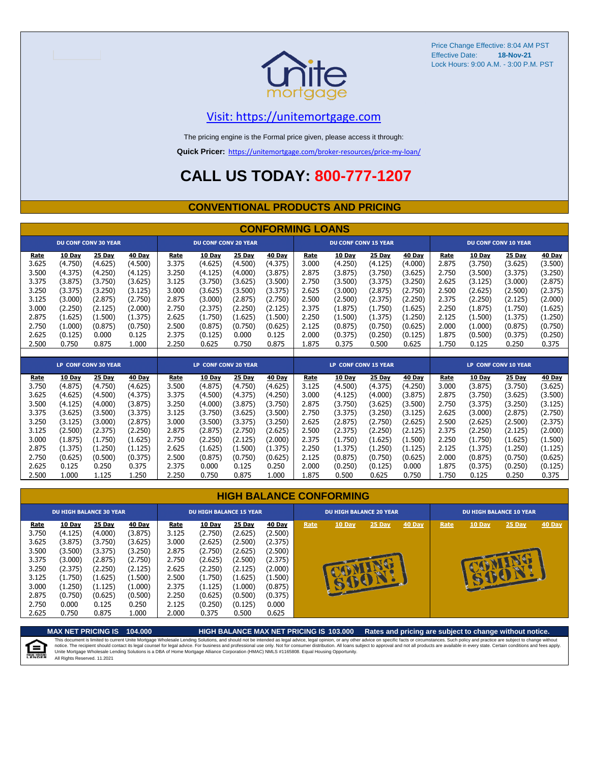

Price Change Effective: 8:04 AM PST Effective Date: Lock Hours: 9:00 A.M. - 3:00 P.M. PST **18-Nov-21**

#### [V](https://unitemortgage.com/)isit: https://unitemortgage.com

The pricing engine is the Formal price given, please access it through:

**Quick Pricer:** [https://un](https://unitemortgage.com/broker-resources/price-my-loan/)itemortgage.com/broker-resources/price-my-loan/

### **CALL US TODAY: 800-777-1207**

#### **CONVENTIONAL PRODUCTS AND PRICING**

|       |         |                             |         |       |                             |         | <b>CONFORMING LOANS</b> |                             |                             |               |         |                             |               |                             |               |
|-------|---------|-----------------------------|---------|-------|-----------------------------|---------|-------------------------|-----------------------------|-----------------------------|---------------|---------|-----------------------------|---------------|-----------------------------|---------------|
|       |         | <b>DU CONF CONV 30 YEAR</b> |         |       | <b>DU CONF CONV 20 YEAR</b> |         |                         |                             | <b>DU CONF CONV 15 YEAR</b> |               |         |                             |               | <b>DU CONF CONV 10 YEAR</b> |               |
| Rate  | 10 Day  | 25 Day                      | 40 Day  | Rate  | 10 Day                      | 25 Day  | 40 Day                  | Rate                        | 10 Day                      | 25 Day        | 40 Day  | Rate                        | 10 Day        | 25 Day                      | 40 Day        |
| 3.625 | (4.750) | (4.625)                     | (4.500) | 3.375 | (4.625)                     | (4.500) | (4.375)                 | 3.000                       | (4.250)                     | (4.125)       | (4.000) | 2.875                       | (3.750)       | (3.625)                     | (3.500)       |
| 3.500 | (4.375) | (4.250)                     | (4.125) | 3.250 | (4.125)                     | (4.000) | (3.875)                 | 2.875                       | (3.875)                     | (3.750)       | (3.625) | 2.750                       | (3.500)       | (3.375)                     | (3.250)       |
| 3.375 | (3.875) | (3.750)                     | (3.625) | 3.125 | (3.750)                     | (3.625) | (3.500)                 | 2.750                       | (3.500)                     | (3.375)       | (3.250) | 2.625                       | (3.125)       | (3.000)                     | (2.875)       |
| 3.250 | (3.375) | (3.250)                     | (3.125) | 3.000 | (3.625)                     | (3.500) | (3.375)                 | 2.625                       | (3.000)                     | (2.875)       | (2.750) | 2.500                       | (2.625)       | (2.500)                     | (2.375)       |
| 3.125 | (3.000) | (2.875)                     | (2.750) | 2.875 | (3.000)                     | (2.875) | (2.750)                 | 2.500                       | (2.500)                     | (2.375)       | (2.250) | 2.375                       | (2.250)       | (2.125)                     | (2.000)       |
| 3.000 | (2.250) | (2.125)                     | (2.000) | 2.750 | (2.375)                     | (2.250) | (2.125)                 | 2.375                       | (1.875)                     | (1.750)       | (1.625) | 2.250                       | (1.875)       | (1.750)                     | (1.625)       |
| 2.875 | (1.625) | (1.500)                     | (1.375) | 2.625 | (1.750)                     | (1.625) | (1.500)                 | 2.250                       | (1.500)                     | (1.375)       | (1.250) | 2.125                       | (1.500)       | (1.375)                     | (1.250)       |
| 2.750 | (1.000) | (0.875)                     | (0.750) | 2.500 | (0.875)                     | (0.750) | (0.625)                 | 2.125                       | (0.875)                     | (0.750)       | (0.625) | 2.000                       | (1.000)       | (0.875)                     | (0.750)       |
| 2.625 | (0.125) | 0.000                       | 0.125   | 2.375 | (0.125)                     | 0.000   | 0.125                   | 2.000                       | (0.375)                     | (0.250)       | (0.125) | 1.875                       | (0.500)       | (0.375)                     | (0.250)       |
| 2.500 | 0.750   | 0.875                       | 1.000   | 2.250 | 0.625                       | 0.750   | 0.875                   | 1.875                       | 0.375                       | 0.500         | 0.625   | 1.750                       | 0.125         | 0.250                       | 0.375         |
|       |         |                             |         |       |                             |         |                         |                             |                             |               |         |                             |               |                             |               |
|       |         | <b>LP CONF CONV 30 YEAR</b> |         |       | <b>LP CONF CONV 20 YEAR</b> |         |                         | <b>LP CONF CONV 15 YEAR</b> |                             |               |         | <b>LP CONF CONV 10 YEAR</b> |               |                             |               |
| Rate  | 10 Day  | 25 Day                      | 40 Day  | Rate  | 10 Day                      | 25 Day  | <b>40 Day</b>           | Rate                        | 10 Day                      | <b>25 Day</b> | 40 Day  | Rate                        | <b>10 Day</b> | 25 Day                      | <b>40 Day</b> |
| 3.750 | (4.875) | (4.750)                     | (4.625) | 3.500 | (4.875)                     | (4.750) | (4.625)                 | 3.125                       | (4.500)                     | (4.375)       | (4.250) | 3.000                       | (3.875)       | (3.750)                     | (3.625)       |
| 3.625 | (4.625) | (4.500)                     | (4.375) | 3.375 | (4.500)                     | (4.375) | (4.250)                 | 3.000                       | (4.125)                     | (4.000)       | (3.875) | 2.875                       | (3.750)       | (3.625)                     | (3.500)       |
| 3.500 | (4.125) | (4.000)                     | (3.875) | 3.250 | (4.000)                     | (3.875) | (3.750)                 | 2.875                       | (3.750)                     | (3.625)       | (3.500) | 2.750                       | (3.375)       | (3.250)                     | (3.125)       |
| 3.375 | (3.625) | (3.500)                     | (3.375) | 3.125 | (3.750)                     | (3.625) | (3.500)                 | 2.750                       | (3.375)                     | (3.250)       | (3.125) | 2.625                       | (3.000)       | (2.875)                     | (2.750)       |
| 3.250 | (3.125) | (3.000)                     | (2.875) | 3.000 | (3.500)                     | (3.375) | (3.250)                 | 2.625                       | (2.875)                     | (2.750)       | (2.625) | 2.500                       | (2.625)       | (2.500)                     | (2.375)       |
| 3.125 | (2.500) | (2.375)                     | (2.250) | 2.875 | (2.875)                     | (2.750) | (2.625)                 | 2.500                       | (2.375)                     | (2.250)       | (2.125) | 2.375                       | (2.250)       | (2.125)                     | (2.000)       |
| 3.000 | (1.875) | (1.750)                     | (1.625) | 2.750 | (2.250)                     | (2.125) | (2.000)                 | 2.375                       | (1.750)                     | (1.625)       | (1.500) | 2.250                       | (1.750)       | (1.625)                     | (1.500)       |
| 2.875 | (1.375) | (1.250)                     | (1.125) | 2.625 | (1.625)                     | (1.500) | (1.375)                 | 2.250                       | (1.375)                     | (1.250)       | (1.125) | 2.125                       | (1.375)       | (1.250)                     | (1.125)       |

#### **HIGH BALANCE CONFORMING**

2.750 (0.625) (0.500) (0.375) 2.500 (0.875) (0.750) (0.625) 2.125 (0.875) (0.750) (0.625) 2.000 (0.875) (0.750) (0.625) 2.625 0.125 0.250 0.375 2.375 0.000 0.125 0.250 2.000 (0.250) (0.125) 0.000 1.875 (0.375) (0.250) (0.125) 2.500 1.000 1.125 1.250 2.250 0.750 0.875 1.000 1.875 0.500 0.625 0.750 1.750 0.125 0.250 0.375

|                                                                              | <b>DU HIGH BALANCE 30 YEAR</b>                                                                 |                                                                                                |                                                                                                | <b>DU HIGH BALANCE 15 YEAR</b>                                               |                                                                                                       |                                                                                                |                                                                                                |      | <b>DU HIGH BALANCE 20 YEAR</b> |        |        |      | <b>DU HIGH BALANCE 10 YEAR</b> |          |               |  |  |
|------------------------------------------------------------------------------|------------------------------------------------------------------------------------------------|------------------------------------------------------------------------------------------------|------------------------------------------------------------------------------------------------|------------------------------------------------------------------------------|-------------------------------------------------------------------------------------------------------|------------------------------------------------------------------------------------------------|------------------------------------------------------------------------------------------------|------|--------------------------------|--------|--------|------|--------------------------------|----------|---------------|--|--|
| Rate<br>3.750<br>3.625<br>3.500<br>3.375<br>3.250<br>3.125<br>3.000<br>2.875 | 10 Day<br>(4.125)<br>(3.875)<br>(3.500)<br>(3.000)<br>(2.375)<br>(1.750)<br>(1.250)<br>(0.750) | 25 Day<br>(4.000)<br>(3.750)<br>(3.375)<br>(2.875)<br>(2.250)<br>(1.625)<br>(1.125)<br>(0.625) | 40 Day<br>(3.875)<br>(3.625)<br>(3.250)<br>(2.750)<br>(2.125)<br>(1.500)<br>(1.000)<br>(0.500) | Rate<br>3.125<br>3.000<br>2.875<br>2.750<br>2.625<br>2.500<br>2.375<br>2.250 | <b>10 Day</b><br>(2.750)<br>(2.625)<br>(2.750)<br>(2.625)<br>(2.250)<br>(1.750)<br>(1.125)<br>(0.625) | 25 Day<br>(2.625)<br>(2.500)<br>(2.625)<br>(2.500)<br>(2.125)<br>(1.625)<br>(1.000)<br>(0.500) | 40 Day<br>(2.500)<br>(2.375)<br>(2.500)<br>(2.375)<br>(2.000)<br>(1.500)<br>(0.875)<br>(0.375) | Rate | <b>10 Day</b>                  | 25 Day | 40 Day | Rate | <b>10 Day</b>                  | $25$ Day | <b>40 Day</b> |  |  |
| 2.750<br>2.625                                                               | 0.000<br>0.750                                                                                 | 0.125<br>0.875                                                                                 | 0.250<br>1.000                                                                                 | 2.125<br>2.000                                                               | (0.250)<br>0.375                                                                                      | (0.125)<br>0.500                                                                               | 0.000<br>0.625                                                                                 |      |                                |        |        |      |                                |          |               |  |  |

**MAX NET PRICING IS 104.000 HIGH BALANCE MAX NET PRICING IS 103.000 Rates and pricing are subject to change without notice.** This document is limited to current Unite Mortgage Wholesale Lending Solutions, and should not be intended as legal advice, legal opinion, or any other advice on specific facts or circumstances. Such policy and practice ar 自 All Rights Reserved. 11.2021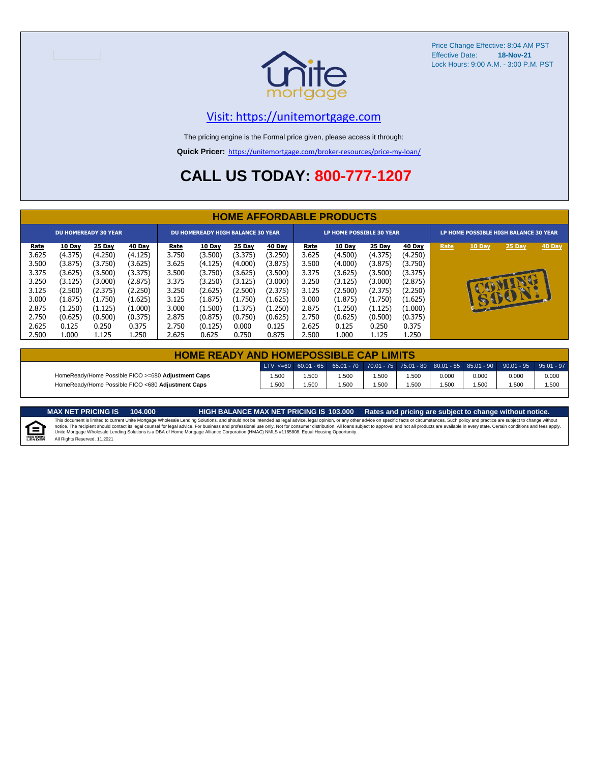

Price Change Effective: 8:04 AM PST Effective Date: **18-Nov-21** Lock Hours: 9:00 A.M. - 3:00 P.M. PST

#### [V](https://unitemortgage.com/)isit: https://unitemortgage.com

The pricing engine is the Formal price given, please access it through:

**Quick Pricer:** [https://un](https://unitemortgage.com/broker-resources/price-my-loan/)itemortgage.com/broker-resources/price-my-loan/

### **CALL US TODAY: 800-777-1207**

|             | <b>HOME AFFORDABLE PRODUCTS</b> |                             |         |             |                                          |         |         |                                 |         |         |         |                                       |              |          |        |
|-------------|---------------------------------|-----------------------------|---------|-------------|------------------------------------------|---------|---------|---------------------------------|---------|---------|---------|---------------------------------------|--------------|----------|--------|
|             |                                 | <b>DU HOMEREADY 30 YEAR</b> |         |             | <b>DU HOMEREADY HIGH BALANCE 30 YEAR</b> |         |         | <b>LP HOME POSSIBLE 30 YEAR</b> |         |         |         | LP HOME POSSIBLE HIGH BALANCE 30 YEAR |              |          |        |
| <u>Rate</u> | 10 Day                          | 25 Day                      | 40 Day  | <b>Rate</b> | 10 Day                                   | 25 Day  | 40 Day  | <u>Rate</u>                     | 10 Day  | 25 Day  | 40 Day  | Rate                                  | 10 Day       | 25 Day   | 40 Day |
| 3.625       | (4.375)                         | (4.250)                     | (4.125) | 3.750       | (3.500)                                  | (3.375) | (3.250) | 3.625                           | (4.500) | (4.375) | (4.250) |                                       |              |          |        |
| 3.500       | (3.875)                         | (3.750)                     | (3.625) | 3.625       | (4.125)                                  | (4.000) | (3.875) | 3.500                           | (4.000) | (3.875) | (3.750) |                                       |              |          |        |
| 3.375       | (3.625)                         | (3.500)                     | (3.375) | 3.500       | (3.750)                                  | (3.625) | (3.500) | 3.375                           | (3.625) | (3.500) | (3.375) |                                       |              |          |        |
| 3.250       | (3.125)                         | (3.000)                     | (2.875) | 3.375       | (3.250)                                  | (3.125) | (3.000) | 3.250                           | (3.125) | (3.000) | (2.875) |                                       |              | <b>D</b> |        |
| 3.125       | (2.500)                         | (2.375)                     | (2.250) | 3.250       | (2.625)                                  | (2.500) | (2.375) | 3.125                           | (2.500) | (2.375) | (2.250) |                                       |              |          |        |
| 3.000       | (1.875)                         | (1.750)                     | (1.625) | 3.125       | (1.875)                                  | (1.750) | (1.625) | 3.000                           | (1.875) | (1.750) | (1.625) |                                       | $\mathbf{u}$ | SSSELL   |        |
| 2.875       | (1.250)                         | (1.125)                     | (1.000) | 3.000       | (1.500)                                  | (1.375) | (1.250) | 2.875                           | (1.250) | (1.125) | (1.000) |                                       |              |          |        |
| 2.750       | (0.625)                         | (0.500)                     | (0.375) | 2.875       | (0.875)                                  | (0.750) | (0.625) | 2.750                           | (0.625) | (0.500) | (0.375) |                                       |              |          |        |
| 2.625       | 0.125                           | 0.250                       | 0.375   | 2.750       | (0.125)                                  | 0.000   | 0.125   | 2.625                           | 0.125   | 0.250   | 0.375   |                                       |              |          |        |
| 2.500       | 1.000                           | 1.125                       | 1.250   | 2.625       | 0.625                                    | 0.750   | 0.875   | 2.500                           | 1.000   | 1.125   | 1.250   |                                       |              |          |        |

| <b>HOME READY AND HOMEPOSSIBLE CAP LIMITS</b>      |       |      |      |      |       |       |       |                                                                                                  |       |  |  |
|----------------------------------------------------|-------|------|------|------|-------|-------|-------|--------------------------------------------------------------------------------------------------|-------|--|--|
|                                                    |       |      |      |      |       |       |       | LTV <=60 60.01 - 65 65.01 - 70 70.01 - 75 75.01 - 80 80.01 - 85 85.01 - 90 90.01 - 95 95.01 - 97 |       |  |  |
| HomeReady/Home Possible FICO >=680 Adjustment Caps | .500  | .500 | .500 | .500 | 1.500 | 0.000 | 0.000 | 0.000                                                                                            | 0.000 |  |  |
| HomeReady/Home Possible FICO <680 Adjustment Caps  | 1.500 | .500 | .500 | .500 | .500  | .500  | .500  | .500                                                                                             | 1.500 |  |  |

MAX NET PRICING IS 103.000 Rates and pricing are subject to change without notice.<br>This document is limited to current Unite Mortgage Wholesale Lending Solutions, and should not be intended as legal advice, legal opinion,

E

All Rights Reserved. 11.2021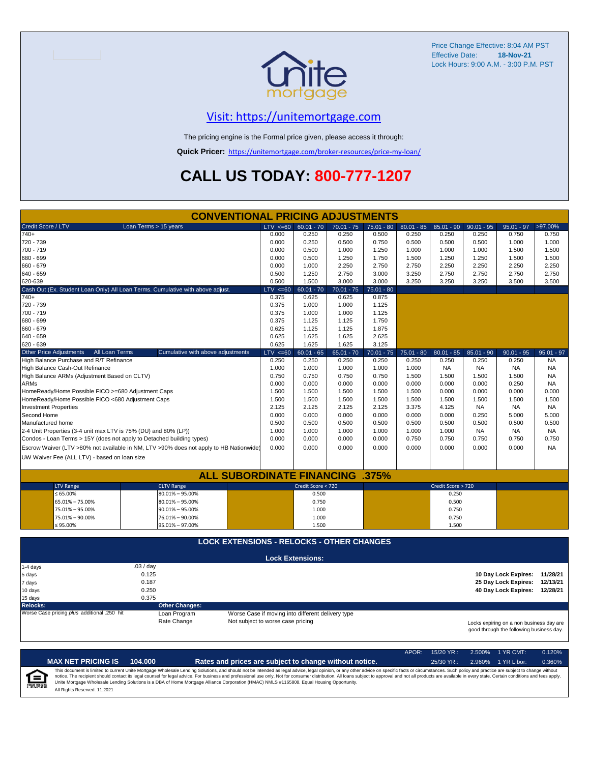

Price Change Effective: 8:04 AM PST Effective Date: **18-Nov-21** Lock Hours: 9:00 A.M. - 3:00 P.M. PST

#### [V](https://unitemortgage.com/)isit: https://unitemortgage.com

The pricing engine is the Formal price given, please access it through:

**Quick Pricer:** [https://un](https://unitemortgage.com/broker-resources/price-my-loan/)itemortgage.com/broker-resources/price-my-loan/

## **CALL US TODAY: 800-777-1207**

|                                                                                | <b>CONVENTIONAL PRICING ADJUSTMENTS</b>                                                |                                   |                                                   |              |              |              |                    |              |                                                                                      |              |
|--------------------------------------------------------------------------------|----------------------------------------------------------------------------------------|-----------------------------------|---------------------------------------------------|--------------|--------------|--------------|--------------------|--------------|--------------------------------------------------------------------------------------|--------------|
| Credit Score / LTV                                                             | Loan Terms > 15 years                                                                  | $LTV \le 60$                      | $60.01 - 70$                                      | $70.01 - 75$ | $75.01 - 80$ | $80.01 - 85$ | $85.01 - 90$       | $90.01 - 95$ | $95.01 - 97$                                                                         | >97.00%      |
| $740+$                                                                         |                                                                                        | 0.000                             | 0.250                                             | 0.250        | 0.500        | 0.250        | 0.250              | 0.250        | 0.750                                                                                | 0.750        |
| 720 - 739                                                                      |                                                                                        | 0.000                             | 0.250                                             | 0.500        | 0.750        | 0.500        | 0.500              | 0.500        | 1.000                                                                                | 1.000        |
| 700 - 719                                                                      |                                                                                        | 0.000                             | 0.500                                             | 1.000        | 1.250        | 1.000        | 1.000              | 1.000        | 1.500                                                                                | 1.500        |
| 680 - 699                                                                      |                                                                                        | 0.000                             | 0.500                                             | 1.250        | 1.750        | 1.500        | 1.250              | 1.250        | 1.500                                                                                | 1.500        |
| 660 - 679                                                                      |                                                                                        | 0.000                             | 1.000                                             | 2.250        | 2.750        | 2.750        | 2.250              | 2.250        | 2.250                                                                                | 2.250        |
| 640 - 659                                                                      |                                                                                        | 0.500                             | 1.250                                             | 2.750        | 3.000        | 3.250        | 2.750              | 2.750        | 2.750                                                                                | 2.750        |
| 620-639                                                                        |                                                                                        | 0.500                             | 1.500                                             | 3.000        | 3.000        | 3.250        | 3.250              | 3.250        | 3.500                                                                                | 3.500        |
| Cash Out (Ex. Student Loan Only) All Loan Terms. Cumulative with above adjust. |                                                                                        | $LTV \le 60$                      | $60.01 - 70$                                      | $70.01 - 75$ | $75.01 - 80$ |              |                    |              |                                                                                      |              |
| $740+$                                                                         |                                                                                        | 0.375                             | 0.625                                             | 0.625        | 0.875        |              |                    |              |                                                                                      |              |
| 720 - 739                                                                      |                                                                                        | 0.375                             | 1.000                                             | 1.000        | 1.125        |              |                    |              |                                                                                      |              |
| 700 - 719                                                                      |                                                                                        | 0.375                             | 1.000                                             | 1.000        | 1.125        |              |                    |              |                                                                                      |              |
| 680 - 699                                                                      |                                                                                        | 0.375                             | 1.125                                             | 1.125        | 1.750        |              |                    |              |                                                                                      |              |
| 660 - 679                                                                      |                                                                                        | 0.625                             | 1.125                                             | 1.125        | 1.875        |              |                    |              |                                                                                      |              |
| 640 - 659                                                                      |                                                                                        | 0.625                             | 1.625                                             | 1.625        | 2.625        |              |                    |              |                                                                                      |              |
| 620 - 639                                                                      |                                                                                        | 0.625                             | 1.625                                             | 1.625        | 3.125        |              |                    |              |                                                                                      |              |
| <b>Other Price Adjustments</b><br>All Loan Terms                               | Cumulative with above adjustments                                                      | $LTV \le 60$                      | $60.01 - 65$                                      | $65.01 - 70$ | $70.01 - 75$ | $75.01 - 80$ | $80.01 - 85$       | $85.01 - 90$ | $90.01 - 95$                                                                         | $95.01 - 97$ |
| High Balance Purchase and R/T Refinance                                        |                                                                                        | 0.250                             | 0.250                                             | 0.250        | 0.250        | 0.250        | 0.250              | 0.250        | 0.250                                                                                | <b>NA</b>    |
| High Balance Cash-Out Refinance                                                |                                                                                        | 1.000                             | 1.000                                             | 1.000        | 1.000        | 1.000        | <b>NA</b>          | <b>NA</b>    | <b>NA</b>                                                                            | <b>NA</b>    |
| High Balance ARMs (Adjustment Based on CLTV)                                   |                                                                                        | 0.750                             | 0.750                                             | 0.750        | 0.750        | 1.500        | 1.500              | 1.500        | 1.500                                                                                | <b>NA</b>    |
| <b>ARMs</b>                                                                    |                                                                                        | 0.000                             | 0.000                                             | 0.000        | 0.000        | 0.000        | 0.000              | 0.000        | 0.250                                                                                | <b>NA</b>    |
| HomeReady/Home Possible FICO >=680 Adjustment Caps                             |                                                                                        | 1.500                             | 1.500                                             | 1.500        | 1.500        | 1.500        | 0.000              | 0.000        | 0.000                                                                                | 0.000        |
| HomeReady/Home Possible FICO <680 Adjustment Caps                              |                                                                                        | 1.500                             | 1.500                                             | 1.500        | 1.500        | 1.500        | 1.500              | 1.500        | 1.500                                                                                | 1.500        |
| <b>Investment Properties</b>                                                   |                                                                                        | 2.125                             | 2.125                                             | 2.125        | 2.125        | 3.375        | 4.125              | <b>NA</b>    | <b>NA</b>                                                                            | <b>NA</b>    |
| Second Home                                                                    |                                                                                        | 0.000                             | 0.000                                             | 0.000        | 0.000        | 0.000        | 0.000              | 0.250        | 5.000                                                                                | 5.000        |
| Manufactured home                                                              |                                                                                        | 0.500                             | 0.500                                             | 0.500        | 0.500        | 0.500        | 0.500              | 0.500        | 0.500                                                                                | 0.500        |
| 2-4 Unit Properties (3-4 unit max LTV is 75% (DU) and 80% (LP))                |                                                                                        | 1.000                             | 1.000                                             | 1.000        | 1.000        | 1.000        | 1.000              | <b>NA</b>    | <b>NA</b>                                                                            | <b>NA</b>    |
| Condos - Loan Terms > 15Y (does not apply to Detached building types)          |                                                                                        | 0.000                             | 0.000                                             | 0.000        | 0.000        | 0.750        | 0.750              | 0.750        | 0.750                                                                                | 0.750        |
|                                                                                | Escrow Waiver (LTV >80% not available in NM, LTV >90% does not apply to HB Nationwide) | 0.000                             | 0.000                                             | 0.000        | 0.000        | 0.000        | 0.000              | 0.000        | 0.000                                                                                | <b>NA</b>    |
| UW Waiver Fee (ALL LTV) - based on loan size                                   |                                                                                        |                                   |                                                   |              |              |              |                    |              |                                                                                      |              |
|                                                                                |                                                                                        |                                   |                                                   |              |              |              |                    |              |                                                                                      |              |
|                                                                                | <b>ALL SUBORDINATE FINANCING</b>                                                       |                                   |                                                   |              | .375%        |              |                    |              |                                                                                      |              |
| <b>LTV Range</b>                                                               | <b>CLTV Range</b>                                                                      |                                   | Credit Score < 720                                |              |              |              | Credit Score > 720 |              |                                                                                      |              |
| $\leq 65.00\%$                                                                 | $80.01\% - 95.00\%$                                                                    |                                   | 0.500                                             |              |              |              | 0.250              |              |                                                                                      |              |
| 65.01% - 75.00%                                                                | $80.01\% - 95.00\%$                                                                    |                                   | 0.750                                             |              |              |              | 0.500              |              |                                                                                      |              |
| 75.01% - 95.00%                                                                | $90.01\% - 95.00\%$                                                                    |                                   | 1.000                                             |              |              |              | 0.750              |              |                                                                                      |              |
| 75.01% - 90.00%                                                                | 76.01% - 90.00%                                                                        |                                   | 1.000                                             |              |              |              | 0.750              |              |                                                                                      |              |
| ≤ 95.00%                                                                       | 95.01% - 97.00%                                                                        |                                   | 1.500                                             |              |              |              | 1.500              |              |                                                                                      |              |
|                                                                                |                                                                                        |                                   |                                                   |              |              |              |                    |              |                                                                                      |              |
|                                                                                | <b>LOCK EXTENSIONS - RELOCKS - OTHER CHANGES</b>                                       |                                   |                                                   |              |              |              |                    |              |                                                                                      |              |
|                                                                                |                                                                                        |                                   | <b>Lock Extensions:</b>                           |              |              |              |                    |              |                                                                                      |              |
| $1-4$ days                                                                     | .03/day                                                                                |                                   |                                                   |              |              |              |                    |              |                                                                                      |              |
| 5 days                                                                         | 0.125                                                                                  |                                   |                                                   |              |              |              |                    |              | 10 Day Lock Expires: 11/28/21                                                        |              |
| 7 days                                                                         | 0.187                                                                                  |                                   |                                                   |              |              |              |                    |              | 25 Day Lock Expires:                                                                 | 12/13/21     |
| 10 days                                                                        | 0.250                                                                                  |                                   |                                                   |              |              |              |                    |              | 40 Day Lock Expires: 12/28/21                                                        |              |
| 15 days                                                                        | 0.375                                                                                  |                                   |                                                   |              |              |              |                    |              |                                                                                      |              |
| <b>Relocks:</b>                                                                | <b>Other Changes:</b>                                                                  |                                   |                                                   |              |              |              |                    |              |                                                                                      |              |
| Worse Case pricing plus additional .250 hit                                    | Loan Program                                                                           |                                   | Worse Case if moving into different delivery type |              |              |              |                    |              |                                                                                      |              |
|                                                                                | Rate Change                                                                            | Not subject to worse case pricing |                                                   |              |              |              |                    |              | Locks expiring on a non business day are<br>good through the following business day. |              |

|   |                              |         |                                                                                                                                                                                                                                                                                                                                                                                                                                                                                                                                                                                                                | APOR: | $15/20$ YR.: | 2.500% 1 YR CMT:   | 0.120% |
|---|------------------------------|---------|----------------------------------------------------------------------------------------------------------------------------------------------------------------------------------------------------------------------------------------------------------------------------------------------------------------------------------------------------------------------------------------------------------------------------------------------------------------------------------------------------------------------------------------------------------------------------------------------------------------|-------|--------------|--------------------|--------|
|   | <b>MAX NET PRICING IS</b>    | 104.000 | Rates and prices are subject to change without notice.                                                                                                                                                                                                                                                                                                                                                                                                                                                                                                                                                         |       | $25/30$ YR.: | 2.960% 1 YR Libor: | 0.360% |
| 烏 | All Rights Reserved. 11.2021 |         | This document is limited to current Unite Mortgage Wholesale Lending Solutions, and should not be intended as legal advice, legal opinion, or any other advice on specific facts or circumstances. Such policy and practice ar<br>notice. The recipient should contact its legal counsel for legal advice. For business and professional use only. Not for consumer distribution. All loans subject to approval and not all products are available in every stat<br>Unite Mortgage Wholesale Lending Solutions is a DBA of Home Mortgage Alliance Corporation (HMAC) NMLS #1165808. Equal Housing Opportunity. |       |              |                    |        |